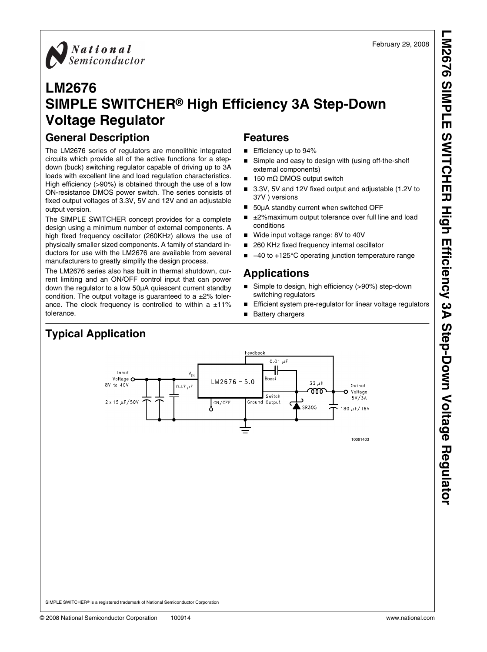**LM2676 SIMPLE SWITCHER High Efficiency 3A Step-Down Voltage Regulator**M2676 SIMPLE SWITCHER High Efficiency 3A Step-Down Voltage Regulator



## **LM2676 SIMPLE SWITCHER® High Efficiency 3A Step-Down Voltage Regulator**

## **General Description**

The LM2676 series of regulators are monolithic integrated circuits which provide all of the active functions for a stepdown (buck) switching regulator capable of driving up to 3A loads with excellent line and load regulation characteristics. High efficiency (>90%) is obtained through the use of a low ON-resistance DMOS power switch. The series consists of fixed output voltages of 3.3V, 5V and 12V and an adjustable output version.

The SIMPLE SWITCHER concept provides for a complete design using a minimum number of external components. A high fixed frequency oscillator (260KHz) allows the use of physically smaller sized components. A family of standard inductors for use with the LM2676 are available from several manufacturers to greatly simplify the design process.

The LM2676 series also has built in thermal shutdown, current limiting and an ON/OFF control input that can power down the regulator to a low 50μA quiescent current standby condition. The output voltage is guaranteed to a  $\pm 2\%$  tolerance. The clock frequency is controlled to within a  $\pm 11\%$ tolerance.

## **Features**

- Efficiency up to 94%
- Simple and easy to design with (using off-the-shelf external components)
- 150 mΩ DMOS output switch
- 3.3V, 5V and 12V fixed output and adjustable (1.2V to 37V ) versions
- 50μA standby current when switched OFF
- ±2%maximum output tolerance over full line and load conditions
- Wide input voltage range: 8V to 40V
- 260 KHz fixed frequency internal oscillator
- −40 to +125°C operating junction temperature range

## **Applications**

- Simple to design, high efficiency (>90%) step-down switching regulators
- Efficient system pre-regulator for linear voltage regulators
- Battery chargers



**Typical Application**

SIMPLE SWITCHER® is a registered trademark of National Semiconductor Corporation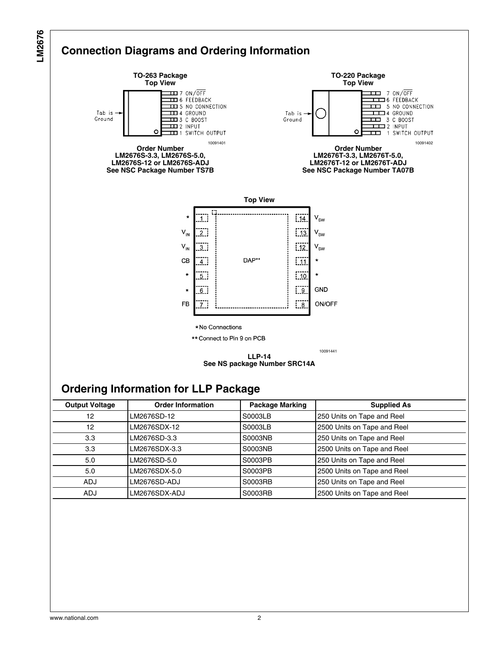

### **See NS package Number SRC14A**

## **Ordering Information for LLP Package**

| <b>Output Voltage</b> | <b>Order Information</b> | <b>Package Marking</b> | <b>Supplied As</b>          |
|-----------------------|--------------------------|------------------------|-----------------------------|
| 12                    | LM2676SD-12              | S0003LB                | 250 Units on Tape and Reel  |
| 12                    | LM2676SDX-12             | S0003LB                | 2500 Units on Tape and Reel |
| 3.3                   | LM2676SD-3.3             | S0003NB                | 250 Units on Tape and Reel  |
| 3.3 <sub>2</sub>      | LM2676SDX-3.3            | S0003NB                | 2500 Units on Tape and Reel |
| 5.0                   | LM2676SD-5.0             | S0003PB                | 250 Units on Tape and Reel  |
| 5.0                   | LM2676SDX-5.0            | S0003PB                | 2500 Units on Tape and Reel |
| <b>ADJ</b>            | LM2676SD-ADJ             | S0003RB                | 250 Units on Tape and Reel  |
| <b>ADJ</b>            | LM2676SDX-ADJ            | S0003RB                | 2500 Units on Tape and Reel |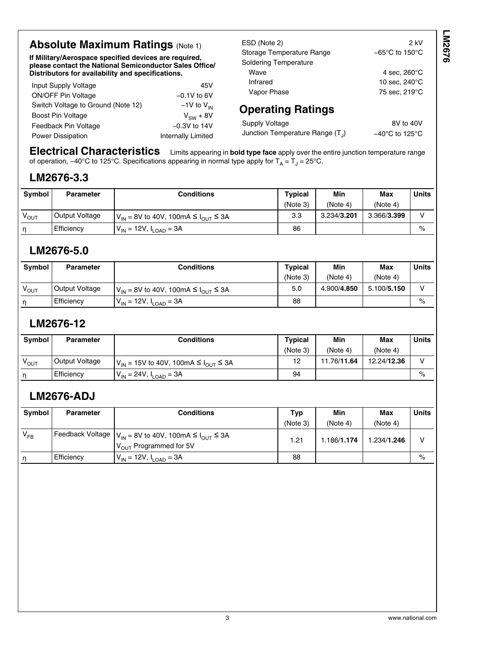## **Absolute Maximum Ratings (Note [1\)](#page-4-0)**

**If Military/Aerospace specified devices are required, please contact the National Semiconductor Sales Office/ Distributors for availability and specifications.**

| Input Supply Voltage               | 45V                       |
|------------------------------------|---------------------------|
| <b>ON/OFF Pin Voltage</b>          | $-0.1V$ to 6V             |
| Switch Voltage to Ground (Note 12) | $-1V$ to $V_{IN}$         |
| <b>Boost Pin Voltage</b>           | $V_{SW}$ + 8V             |
| Feedback Pin Voltage               | $-0.3V$ to 14V            |
| <b>Power Dissipation</b>           | <b>Internally Limited</b> |
|                                    |                           |

ESD (Note [2](#page-4-0)) 2 kV Storage Temperature Range −65°C to 150°C Soldering Temperature Wave 4 sec, 260°C Infrared 10 sec, 240°C Vapor Phase 75 sec, 219°C

## **Operating Ratings**

Supply Voltage 8V to 40V Junction Temperature Range  $(T_1)$ 

) −40°C to 125°C

**Electrical Characteristics** Limits appearing in **bold type face** apply over the entire junction temperature range of operation, –40°C to 125°C. Specifications appearing in normal type apply for T<sub>A</sub> = T<sub>J</sub> = 25°C.

## **LM2676-3.3**

| Symbol           | Parameter      | Conditions                                    | Typical  | Min         | <b>Max</b>  | <b>Units</b> |
|------------------|----------------|-----------------------------------------------|----------|-------------|-------------|--------------|
|                  |                |                                               | (Note 3) | (Note 4)    | (Note 4)    |              |
| $V_{\text{OUT}}$ | Output Voltage | $V_{IN}$ = 8V to 40V, 100mA ≤ $I_{OUIT}$ ≤ 3A | 3.3      | 3.234/3.201 | 3.366/3.399 |              |
| n                | Efficiency     | V <sub>IN</sub> = 12V, I <sub>LOAD</sub> = 3A | 86       |             |             | $\%$         |

## **LM2676-5.0**

| <b>Symbol</b> | <b>Parameter</b> | Conditions                                                           | <b>Typical</b> | Min         | <b>Max</b>  | <b>Units</b> |
|---------------|------------------|----------------------------------------------------------------------|----------------|-------------|-------------|--------------|
|               |                  |                                                                      | (Note 3)       | (Note 4)    | (Note 4)    |              |
| $V_{OUT}$     | Output Voltage   | $V_{\text{IN}}$ = 8V to 40V, 100mA $\leq$ $V_{\text{OUT}}$ $\leq$ 3A | 5.0            | 4.900/4.850 | 5.100/5.150 | v            |
| n             | Efficiency       | $V_{IN}$ = 12V, $I_{LOAD}$ = 3A                                      | 88             |             |             | $\%$         |

## **LM2676-12**

| <b>Symbol</b> | <b>Parameter</b> | Conditions                                    | Typical  | Min         | <b>Max</b>  | <b>Units</b> |
|---------------|------------------|-----------------------------------------------|----------|-------------|-------------|--------------|
|               |                  |                                               | (Note 3) | (Note 4)    | (Note 4)    |              |
| $V_{OUT}$     | Output Voltage   | $V_{in}$ = 15V to 40V, 100mA ≤ $I_{out}$ ≤ 3A | 12       | 11.76/11.64 | 12.24/12.36 | v            |
| n             | Efficiency       | $V_{IN}$ = 24V, $I_{LOAD}$ = 3A               | 94       |             |             | $\%$         |

## **LM2676-ADJ**

| Svmbol   | <b>Parameter</b> | Conditions                                                                                            | Typ      | Min         | Max         | <b>Units</b> |
|----------|------------------|-------------------------------------------------------------------------------------------------------|----------|-------------|-------------|--------------|
|          |                  |                                                                                                       | (Note 3) | (Note 4)    | (Note 4)    |              |
| $V_{FB}$ |                  | [Feedback Voltage $ V_{IN} = 8V$ to 40V, 100mA ≤ $I_{OUT}$ ≤ 3A<br>V <sub>OUT</sub> Programmed for 5V | 1.21     | 1.186/1.174 | 1.234/1.246 | v            |
| n        | Efficiency       | $V_{IN}$ = 12V, $I_{LOAD}$ = 3A                                                                       | 88       |             |             | $\%$         |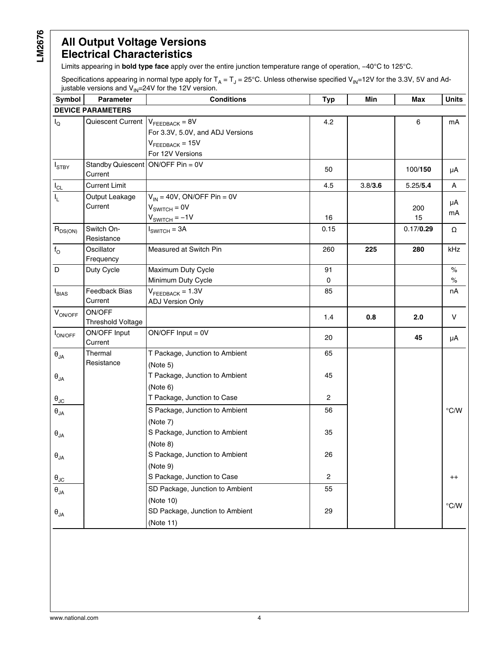## **All Output Voltage Versions Electrical Characteristics**

Limits appearing in **bold type face** apply over the entire junction temperature range of operation, −40°C to 125°C.

Specifications appearing in normal type apply for T<sub>A</sub> = T<sub>J</sub> = 25°C. Unless otherwise specified V<sub>IN</sub>=12V for the 3.3V, 5V and Adjustable versions and V<sub>IN</sub>=24V for the 12V version.

| Symbol                              | 11 V<br><b>Parameter</b>                        | <b>Conditions</b>                                                                   | <b>Typ</b>     | Min     | Max       | <b>Units</b>  |
|-------------------------------------|-------------------------------------------------|-------------------------------------------------------------------------------------|----------------|---------|-----------|---------------|
|                                     | <b>DEVICE PARAMETERS</b>                        |                                                                                     |                |         |           |               |
| $I_{\mathsf{Q}}$                    | Quiescent Current $V_{\text{FEEBBACK}} = 8V$    | For 3.3V, 5.0V, and ADJ Versions<br>$V_{\text{FEEDBACK}}$ = 15V<br>For 12V Versions | 4.2            |         | 6         | mA            |
| $I_{STBY}$                          | Standby Quiescent $ON/OFF P$ in = 0V<br>Current |                                                                                     | 50             |         | 100/150   | μA            |
| $I_{CL}$                            | <b>Current Limit</b>                            |                                                                                     | 4.5            | 3.8/3.6 | 5.25/5.4  | Α             |
| I <sub>L</sub>                      | Output Leakage<br>Current                       | $V_{IN}$ = 40V, ON/OFF Pin = 0V<br>$VSWITCH = 0V$<br>$VSWITCH = -1V$                | 16             |         | 200<br>15 | μA<br>mA      |
| $R_{DS(ON)}$                        | Switch On-<br>Resistance                        | $ISWITCH = 3A$                                                                      | 0.15           |         | 0.17/0.29 | Ω             |
| $f_{\rm O}$                         | Oscillator<br>Frequency                         | Measured at Switch Pin                                                              | 260            | 225     | 280       | kHz           |
| D                                   | Duty Cycle                                      | Maximum Duty Cycle<br>Minimum Duty Cycle                                            | 91<br>0        |         |           | $\%$<br>$\%$  |
| $I_{BIAS}$                          | Feedback Bias<br>Current                        | $V_{\text{FEEDBACK}} = 1.3V$<br><b>ADJ Version Only</b>                             | 85             |         |           | nA            |
| $V_{ON/OFF}$                        | ON/OFF<br><b>Threshold Voltage</b>              |                                                                                     | 1.4            | 0.8     | 2.0       | v             |
| <b>ION/OFF</b>                      | ON/OFF Input<br>Current                         | $ON/OFF Input = OV$                                                                 | 20             |         | 45        | μA            |
| $\boldsymbol{\theta}_{\mathsf{JA}}$ | Thermal<br>Resistance                           | T Package, Junction to Ambient<br>(Note 5)                                          | 65             |         |           |               |
| $\theta_{JA}$                       |                                                 | T Package, Junction to Ambient<br>(Note 6)                                          | 45             |         |           |               |
| $\theta_{\text{JC}}$                |                                                 | T Package, Junction to Case                                                         | $\overline{2}$ |         |           |               |
| $\boldsymbol{\theta}_{\mathsf{JA}}$ |                                                 | S Package, Junction to Ambient<br>(Note 7)                                          | 56             |         |           | $\degree$ C/W |
| $\theta_{JA}$                       |                                                 | S Package, Junction to Ambient<br>(Note 8)                                          | 35             |         |           |               |
| $\theta_{JA}$                       |                                                 | S Package, Junction to Ambient<br>(Note 9)                                          | 26             |         |           |               |
| $\theta_{\text{JC}}$                |                                                 | S Package, Junction to Case                                                         | $\overline{2}$ |         |           | $^{++}$       |
| $\boldsymbol{\theta}_{\mathsf{JA}}$ |                                                 | SD Package, Junction to Ambient<br>(Note 10)                                        | 55             |         |           | $\degree$ C/W |
| $\theta_{JA}$                       |                                                 | SD Package, Junction to Ambient<br>(Note 11)                                        | 29             |         |           |               |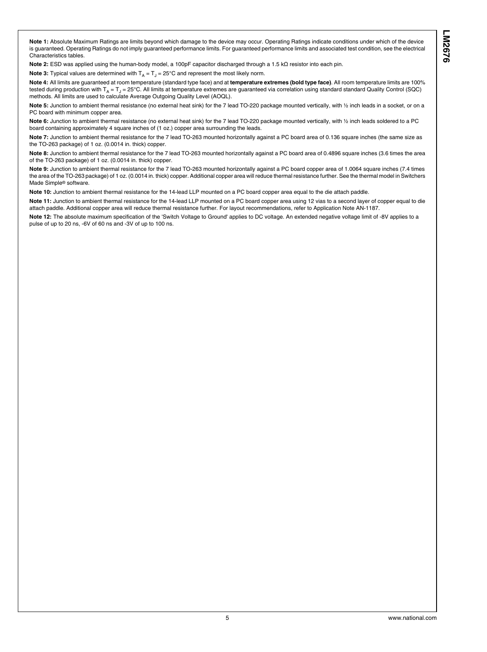<span id="page-4-0"></span>**Note 1:** Absolute Maximum Ratings are limits beyond which damage to the device may occur. Operating Ratings indicate conditions under which of the device is guaranteed. Operating Ratings do not imply guaranteed performance limits. For guaranteed performance limits and associated test condition, see the electrical Characteristics tables.

**Note 2:** ESD was applied using the human-body model, a 100pF capacitor discharged through a 1.5 kΩ resistor into each pin.

**Note 3:** Typical values are determined with  $T_A = T_J = 25^{\circ}$ C and represent the most likely norm.

Note 4: All limits are guaranteed at room temperature (standard type face) and at *temperature extremes (bold type face)*. All room temperature limits are 100% tested during production with T<sub>A</sub> = T<sub>J</sub> = 25°C. All limits at temperature extremes are guaranteed via correlation using standard standard Quality Control (SQC) methods. All limits are used to calculate Average Outgoing Quality Level (AOQL).

Note 5: Junction to ambient thermal resistance (no external heat sink) for the 7 lead TO-220 package mounted vertically, with ½ inch leads in a socket, or on a PC board with minimum copper area.

**Note 6:** Junction to ambient thermal resistance (no external heat sink) for the 7 lead TO-220 package mounted vertically, with ½ inch leads soldered to a PC board containing approximately 4 square inches of (1 oz.) copper area surrounding the leads.

**Note 7:** Junction to ambient thermal resistance for the 7 lead TO-263 mounted horizontally against a PC board area of 0.136 square inches (the same size as the TO-263 package) of 1 oz. (0.0014 in. thick) copper.

**Note 8:** Junction to ambient thermal resistance for the 7 lead TO-263 mounted horizontally against a PC board area of 0.4896 square inches (3.6 times the area of the TO-263 package) of 1 oz. (0.0014 in. thick) copper.

**Note 9:** Junction to ambient thermal resistance for the 7 lead TO-263 mounted horizontally against a PC board copper area of 1.0064 square inches (7.4 times the area of the TO-263 package) of 1 oz. (0.0014 in. thick) copper. Additional copper area will reduce thermal resistance further. See the thermal model in Switchers Made Simple® software.

**Note 10:** Junction to ambient thermal resistance for the 14-lead LLP mounted on a PC board copper area equal to the die attach paddle.

**Note 11:** Junction to ambient thermal resistance for the 14-lead LLP mounted on a PC board copper area using 12 vias to a second layer of copper equal to die attach paddle. Additional copper area will reduce thermal resistance further. For layout recommendations, refer to Application Note AN-1187.

**Note 12:** The absolute maximum specification of the 'Switch Voltage to Ground' applies to DC voltage. An extended negative voltage limit of -8V applies to a pulse of up to 20 ns, -6V of 60 ns and -3V of up to 100 ns.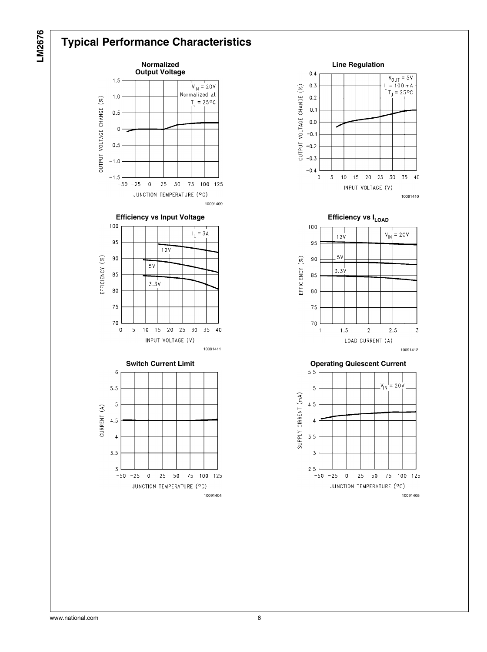## **Typical Performance Characteristics**







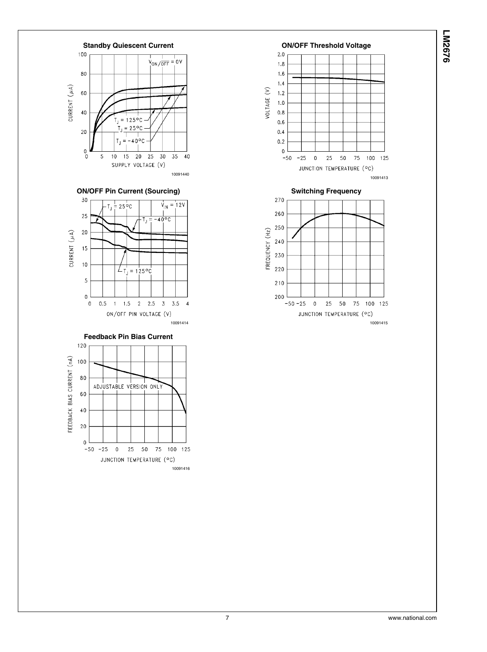

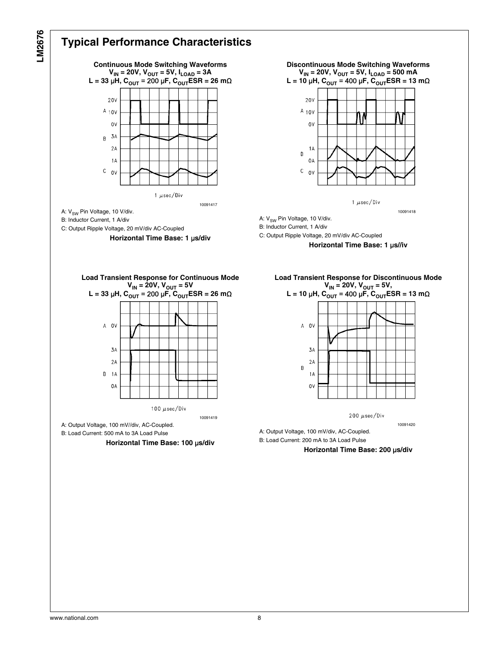

## **Typical Performance Characteristics**





1  $\mu$ sec/Div

10091418

A: V<sub>SW</sub> Pin Voltage, 10 V/div.

B: Inductor Current, 1 A/div

C: Output Ripple Voltage, 20 mV/div AC-Coupled

**Horizontal Time Base: 1** μ**s//iv**





200  $\mu$ sec/Div

10091420

A: Output Voltage, 100 mV/div, AC-Coupled. B: Load Current: 200 mA to 3A Load Pulse

**Horizontal Time Base: 200** μ**s/div**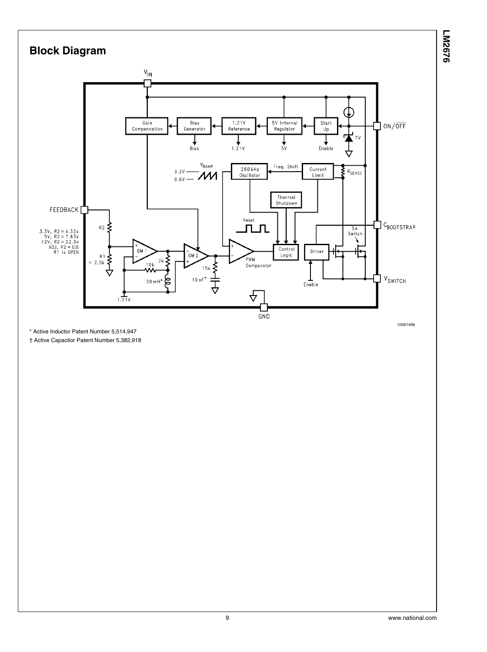

\* Active Inductor Patent Number 5,514,947

† Active Capacitor Patent Number 5,382,918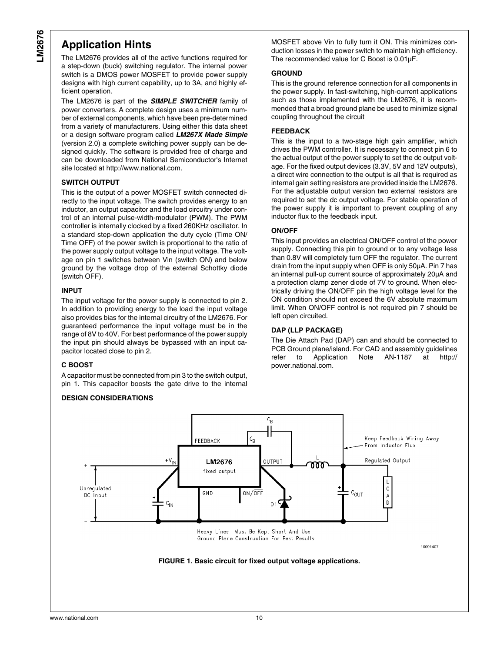## **Application Hints**

The LM2676 provides all of the active functions required for a step-down (buck) switching regulator. The internal power switch is a DMOS power MOSFET to provide power supply designs with high current capability, up to 3A, and highly efficient operation.

The LM2676 is part of the *SIMPLE SWITCHER* family of power converters. A complete design uses a minimum number of external components, which have been pre-determined from a variety of manufacturers. Using either this data sheet or a design software program called *LM267X Made Simple* (version 2.0) a complete switching power supply can be designed quickly. The software is provided free of charge and can be downloaded from National Semiconductor's Internet site located at http://www.national.com.

#### **SWITCH OUTPUT**

This is the output of a power MOSFET switch connected directly to the input voltage. The switch provides energy to an inductor, an output capacitor and the load circuitry under control of an internal pulse-width-modulator (PWM). The PWM controller is internally clocked by a fixed 260KHz oscillator. In a standard step-down application the duty cycle (Time ON/ Time OFF) of the power switch is proportional to the ratio of the power supply output voltage to the input voltage. The voltage on pin 1 switches between Vin (switch ON) and below ground by the voltage drop of the external Schottky diode (switch OFF).

#### **INPUT**

The input voltage for the power supply is connected to pin 2. In addition to providing energy to the load the input voltage also provides bias for the internal circuitry of the LM2676. For guaranteed performance the input voltage must be in the range of 8V to 40V. For best performance of the power supply the input pin should always be bypassed with an input capacitor located close to pin 2.

#### **C BOOST**

A capacitor must be connected from pin 3 to the switch output, pin 1. This capacitor boosts the gate drive to the internal

#### **DESIGN CONSIDERATIONS**

MOSFET above Vin to fully turn it ON. This minimizes conduction losses in the power switch to maintain high efficiency. The recommended value for C Boost is 0.01μF.

#### **GROUND**

This is the ground reference connection for all components in the power supply. In fast-switching, high-current applications such as those implemented with the LM2676, it is recommended that a broad ground plane be used to minimize signal coupling throughout the circuit

#### **FEEDBACK**

This is the input to a two-stage high gain amplifier, which drives the PWM controller. It is necessary to connect pin 6 to the actual output of the power supply to set the dc output voltage. For the fixed output devices (3.3V, 5V and 12V outputs), a direct wire connection to the output is all that is required as internal gain setting resistors are provided inside the LM2676. For the adjustable output version two external resistors are required to set the dc output voltage. For stable operation of the power supply it is important to prevent coupling of any inductor flux to the feedback input.

#### **ON/OFF**

This input provides an electrical ON/OFF control of the power supply. Connecting this pin to ground or to any voltage less than 0.8V will completely turn OFF the regulator. The current drain from the input supply when OFF is only 50μA. Pin 7 has an internal pull-up current source of approximately 20μA and a protection clamp zener diode of 7V to ground. When electrically driving the ON/OFF pin the high voltage level for the ON condition should not exceed the 6V absolute maximum limit. When ON/OFF control is not required pin 7 should be left open circuited.

#### **DAP (LLP PACKAGE)**

The Die Attach Pad (DAP) can and should be connected to PCB Ground plane/island. For CAD and assembly guidelines refer to Application Note AN-1187 at http:// power.national.com.

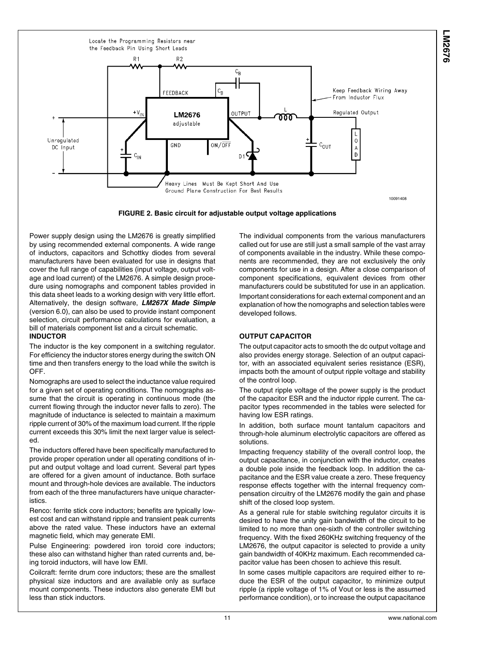<span id="page-10-0"></span>



Power supply design using the LM2676 is greatly simplified by using recommended external components. A wide range of inductors, capacitors and Schottky diodes from several manufacturers have been evaluated for use in designs that cover the full range of capabilities (input voltage, output voltage and load current) of the LM2676. A simple design procedure using nomographs and component tables provided in this data sheet leads to a working design with very little effort. Alternatively, the design software, *LM267X Made Simple* (version 6.0), can also be used to provide instant component selection, circuit performance calculations for evaluation, a bill of materials component list and a circuit schematic. **INDUCTOR**

The inductor is the key component in a switching regulator. For efficiency the inductor stores energy during the switch ON time and then transfers energy to the load while the switch is OFF.

Nomographs are used to select the inductance value required for a given set of operating conditions. The nomographs assume that the circuit is operating in continuous mode (the current flowing through the inductor never falls to zero). The magnitude of inductance is selected to maintain a maximum ripple current of 30% of the maximum load current. If the ripple current exceeds this 30% limit the next larger value is selected.

The inductors offered have been specifically manufactured to provide proper operation under all operating conditions of input and output voltage and load current. Several part types are offered for a given amount of inductance. Both surface mount and through-hole devices are available. The inductors from each of the three manufacturers have unique characteristics.

Renco: ferrite stick core inductors; benefits are typically lowest cost and can withstand ripple and transient peak currents above the rated value. These inductors have an external magnetic field, which may generate EMI.

Pulse Engineering: powdered iron toroid core inductors; these also can withstand higher than rated currents and, being toroid inductors, will have low EMI.

Coilcraft: ferrite drum core inductors; these are the smallest physical size inductors and are available only as surface mount components. These inductors also generate EMI but less than stick inductors.

The individual components from the various manufacturers called out for use are still just a small sample of the vast array of components available in the industry. While these components are recommended, they are not exclusively the only components for use in a design. After a close comparison of component specifications, equivalent devices from other manufacturers could be substituted for use in an application. Important considerations for each external component and an explanation of how the nomographs and selection tables were developed follows.

#### **OUTPUT CAPACITOR**

The output capacitor acts to smooth the dc output voltage and also provides energy storage. Selection of an output capacitor, with an associated equivalent series resistance (ESR), impacts both the amount of output ripple voltage and stability of the control loop.

The output ripple voltage of the power supply is the product of the capacitor ESR and the inductor ripple current. The capacitor types recommended in the tables were selected for having low ESR ratings.

In addition, both surface mount tantalum capacitors and through-hole aluminum electrolytic capacitors are offered as solutions.

Impacting frequency stability of the overall control loop, the output capacitance, in conjunction with the inductor, creates a double pole inside the feedback loop. In addition the capacitance and the ESR value create a zero. These frequency response effects together with the internal frequency compensation circuitry of the LM2676 modify the gain and phase shift of the closed loop system.

As a general rule for stable switching regulator circuits it is desired to have the unity gain bandwidth of the circuit to be limited to no more than one-sixth of the controller switching frequency. With the fixed 260KHz switching frequency of the LM2676, the output capacitor is selected to provide a unity gain bandwidth of 40KHz maximum. Each recommended capacitor value has been chosen to achieve this result.

In some cases multiple capacitors are required either to reduce the ESR of the output capacitor, to minimize output ripple (a ripple voltage of 1% of Vout or less is the assumed performance condition), or to increase the output capacitance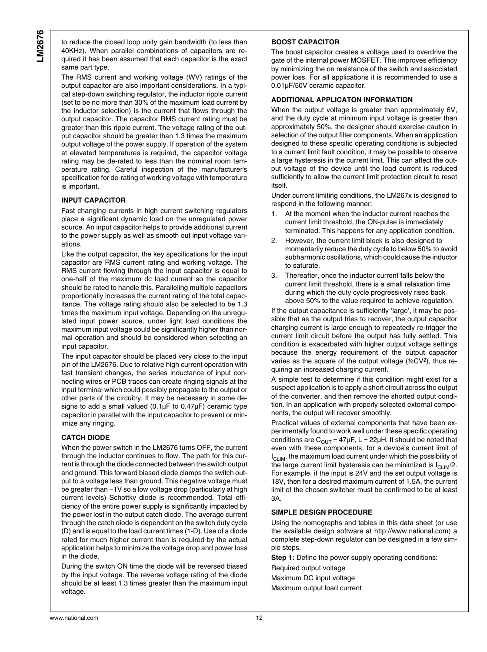to reduce the closed loop unity gain bandwidth (to less than 40KHz). When parallel combinations of capacitors are required it has been assumed that each capacitor is the exact same part type.

The RMS current and working voltage (WV) ratings of the output capacitor are also important considerations. In a typical step-down switching regulator, the inductor ripple current (set to be no more than 30% of the maximum load current by the inductor selection) is the current that flows through the output capacitor. The capacitor RMS current rating must be greater than this ripple current. The voltage rating of the output capacitor should be greater than 1.3 times the maximum output voltage of the power supply. If operation of the system at elevated temperatures is required, the capacitor voltage rating may be de-rated to less than the nominal room temperature rating. Careful inspection of the manufacturer's specification for de-rating of working voltage with temperature is important.

#### **INPUT CAPACITOR**

Fast changing currents in high current switching regulators place a significant dynamic load on the unregulated power source. An input capacitor helps to provide additional current to the power supply as well as smooth out input voltage variations.

Like the output capacitor, the key specifications for the input capacitor are RMS current rating and working voltage. The RMS current flowing through the input capacitor is equal to one-half of the maximum dc load current so the capacitor should be rated to handle this. Paralleling multiple capacitors proportionally increases the current rating of the total capacitance. The voltage rating should also be selected to be 1.3 times the maximum input voltage. Depending on the unregulated input power source, under light load conditions the maximum input voltage could be significantly higher than normal operation and should be considered when selecting an input capacitor.

The input capacitor should be placed very close to the input pin of the LM2676. Due to relative high current operation with fast transient changes, the series inductance of input connecting wires or PCB traces can create ringing signals at the input terminal which could possibly propagate to the output or other parts of the circuitry. It may be necessary in some designs to add a small valued (0.1µF to 0.47µF) ceramic type capacitor in parallel with the input capacitor to prevent or minimize any ringing.

#### **CATCH DIODE**

When the power switch in the LM2676 turns OFF, the current through the inductor continues to flow. The path for this current is through the diode connected between the switch output and ground. This forward biased diode clamps the switch output to a voltage less than ground. This negative voltage must be greater than −1V so a low voltage drop (particularly at high current levels) Schottky diode is recommended. Total efficiency of the entire power supply is significantly impacted by the power lost in the output catch diode. The average current through the catch diode is dependent on the switch duty cycle (D) and is equal to the load current times (1-D). Use of a diode rated for much higher current than is required by the actual application helps to minimize the voltage drop and power loss in the diode.

During the switch ON time the diode will be reversed biased by the input voltage. The reverse voltage rating of the diode should be at least 1.3 times greater than the maximum input voltage.

#### **BOOST CAPACITOR**

The boost capacitor creates a voltage used to overdrive the gate of the internal power MOSFET. This improves efficiency by minimizing the on resistance of the switch and associated power loss. For all applications it is recommended to use a 0.01μF/50V ceramic capacitor.

#### **ADDITIONAL APPLICATON INFORMATION**

When the output voltage is greater than approximately 6V, and the duty cycle at minimum input voltage is greater than approximately 50%, the designer should exercise caution in selection of the output filter components. When an application designed to these specific operating conditions is subjected to a current limit fault condition, it may be possible to observe a large hysteresis in the current limit. This can affect the output voltage of the device until the load current is reduced sufficiently to allow the current limit protection circuit to reset itself.

Under current limiting conditions, the LM267x is designed to respond in the following manner:

- 1. At the moment when the inductor current reaches the current limit threshold, the ON-pulse is immediately terminated. This happens for any application condition.
- 2. However, the current limit block is also designed to momentarily reduce the duty cycle to below 50% to avoid subharmonic oscillations, which could cause the inductor to saturate.
- 3. Thereafter, once the inductor current falls below the current limit threshold, there is a small relaxation time during which the duty cycle progressively rises back above 50% to the value required to achieve regulation.

If the output capacitance is sufficiently 'large', it may be possible that as the output tries to recover, the output capacitor charging current is large enough to repeatedly re-trigger the current limit circuit before the output has fully settled. This condition is exacerbated with higher output voltage settings because the energy requirement of the output capacitor varies as the square of the output voltage (½CV2), thus requiring an increased charging current.

A simple test to determine if this condition might exist for a suspect application is to apply a short circuit across the output of the converter, and then remove the shorted output condition. In an application with properly selected external components, the output will recover smoothly.

Practical values of external components that have been experimentally found to work well under these specific operating conditions are  $C_{\text{OUT}} = 47 \mu\text{F}$ , L = 22 $\mu$ H. It should be noted that even with these components, for a device's current limit of  $I_{CLIM}$ , the maximum load current under which the possibility of the large current limit hysteresis can be minimized is  $I_{CLIM}/2$ . For example, if the input is 24V and the set output voltage is 18V, then for a desired maximum current of 1.5A, the current limit of the chosen switcher must be confirmed to be at least 3A.

#### **SIMPLE DESIGN PROCEDURE**

Using the nomographs and tables in this data sheet (or use the available design software at http://www.national.com) a complete step-down regulator can be designed in a few simple steps.

**Step 1:** Define the power supply operating conditions: Required output voltage

Maximum DC input voltage Maximum output load current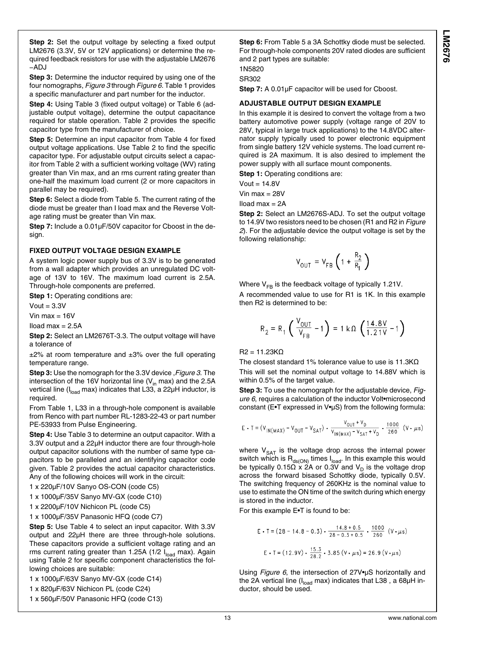**Step 2:** Set the output voltage by selecting a fixed output LM2676 (3.3V, 5V or 12V applications) or determine the required feedback resistors for use with the adjustable LM2676 −ADJ

**Step 3:** Determine the inductor required by using one of the four nomographs, *[Figure 3](#page-14-0)* through *[Figure 6](#page-14-0)*. Table 1 provides a specific manufacturer and part number for the inductor.

**Step 4:** Using Table 3 (fixed output voltage) or Table 6 (adjustable output voltage), determine the output capacitance required for stable operation. Table 2 provides the specific capacitor type from the manufacturer of choice.

**Step 5:** Determine an input capacitor from Table 4 for fixed output voltage applications. Use Table 2 to find the specific capacitor type. For adjustable output circuits select a capacitor from Table 2 with a sufficient working voltage (WV) rating greater than Vin max, and an rms current rating greater than one-half the maximum load current (2 or more capacitors in parallel may be required).

**Step 6:** Select a diode from Table 5. The current rating of the diode must be greater than I load max and the Reverse Voltage rating must be greater than Vin max.

**Step 7:** Include a 0.01μF/50V capacitor for Cboost in the design.

#### **FIXED OUTPUT VOLTAGE DESIGN EXAMPLE**

A system logic power supply bus of 3.3V is to be generated from a wall adapter which provides an unregulated DC voltage of 13V to 16V. The maximum load current is 2.5A. Through-hole components are preferred.

**Step 1: Operating conditions are:** 

 $V$ out = 3.3V

Vin max  $= 16V$ 

 $Iload max = 2.5A$ 

**Step 2:** Select an LM2676T-3.3. The output voltage will have a tolerance of

 $±2\%$  at room temperature and  $±3\%$  over the full operating temperature range.

**Step 3:** Use the nomograph for the 3.3V device ,*[Figure 3](#page-14-0)*. The intersection of the 16V horizontal line  $(V_{in}$  max) and the 2.5A vertical line (I<sub>load</sub> max) indicates that L33, a 22μH inductor, is required.

From Table 1, L33 in a through-hole component is available from Renco with part number RL-1283-22-43 or part number PE-53933 from Pulse Engineering.

**Step 4:** Use Table 3 to determine an output capacitor. With a 3.3V output and a 22μH inductor there are four through-hole output capacitor solutions with the number of same type capacitors to be paralleled and an identifying capacitor code given. Table 2 provides the actual capacitor characteristics. Any of the following choices will work in the circuit:

1 x 220μF/10V Sanyo OS-CON (code C5)

1 x 1000μF/35V Sanyo MV-GX (code C10)

1 x 2200μF/10V Nichicon PL (code C5)

1 x 1000μF/35V Panasonic HFQ (code C7)

**Step 5:** Use Table 4 to select an input capacitor. With 3.3V output and 22μH there are three through-hole solutions. These capacitors provide a sufficient voltage rating and an rms current rating greater than 1.25A (1/2  $I<sub>load</sub>$  max). Again using Table 2 for specific component characteristics the following choices are suitable:

1 x 1000μF/63V Sanyo MV-GX (code C14)

1 x 820μF/63V Nichicon PL (code C24)

1 x 560μF/50V Panasonic HFQ (code C13)

**Step 6:** From Table 5 a 3A Schottky diode must be selected. For through-hole components 20V rated diodes are sufficient and 2 part types are suitable:

1N5820

SR302

**Step 7:** A 0.01μF capacitor will be used for Cboost.

#### **ADJUSTABLE OUTPUT DESIGN EXAMPLE**

In this example it is desired to convert the voltage from a two battery automotive power supply (voltage range of 20V to 28V, typical in large truck applications) to the 14.8VDC alternator supply typically used to power electronic equipment from single battery 12V vehicle systems. The load current required is 2A maximum. It is also desired to implement the power supply with all surface mount components.

**Step 1: Operating conditions are:** 

 $V$ out = 14.8 $V$ 

Vin max  $= 28V$ 

Iload max = 2A

**Step 2:** Select an LM2676S-ADJ. To set the output voltage to 14.9V two resistors need to be chosen (R1 and R2 in *[Figure](#page-10-0) [2](#page-10-0)*). For the adjustable device the output voltage is set by the following relationship:

$$
V_{\text{OUT}} = V_{\text{FB}} \left( 1 + \frac{R_2}{R_1} \right)
$$

Where  $V_{FB}$  is the feedback voltage of typically 1.21V.

A recommended value to use for R1 is 1K. In this example then R2 is determined to be:

$$
R_2 = R_1 \left( \frac{V_{OUT}}{V_{FB}} - 1 \right) = 1 k \Omega \left( \frac{14.8 V}{1.2 V} - 1 \right)
$$

 $R2 = 11.23KΩ$ 

The closest standard 1% tolerance value to use is 11.3KΩ This will set the nominal output voltage to 14.88V which is within 0.5% of the target value.

**Step 3:** To use the nomograph for the adjustable device, *[Fig](#page-14-0)[ure 6](#page-14-0)*, requires a calculation of the inductor Volt•microsecond constant (E•T expressed in V•μS) from the following formula:

$$
E \cdot T = (V_{\text{IN}}(WAX) - V_{\text{OUT}} - V_{\text{SAT}}) \cdot \frac{V_{\text{OUT}} + V_{\text{D}}}{V_{\text{IN}}(WAX) - V_{\text{SAT}} + V_{\text{D}}} \cdot \frac{1000}{260} (V \cdot \mu s)
$$

where  $V_{SAT}$  is the voltage drop across the internal power switch which is  $R_{ds(ON)}$  times  $I_{load}$ . In this example this would be typically 0.15 $\Omega$  x 2A or 0.3V and V<sub>D</sub> is the voltage drop across the forward bisased Schottky diode, typically 0.5V. The switching frequency of 260KHz is the nominal value to use to estimate the ON time of the switch during which energy is stored in the inductor.

For this example E•T is found to be:

$$
E \cdot T = (28 - 14.8 - 0.3) \cdot \frac{14.8 + 0.5}{28 - 0.3 + 0.5} \cdot \frac{1000}{260} \text{ (V·}\mu\text{s})
$$
  

$$
E \cdot T = (12.9 \text{V}) \cdot \frac{15.3}{28.2} \cdot 3.85 \text{ (V·}\mu\text{s}) = 26.9 \text{ (V·}\mu\text{s})
$$

Using *[Figure 6](#page-14-0)*, the intersection of 27V•μS horizontally and the 2A vertical line ( $I_{load}$  max) indicates that L38, a 68 $\mu$ H inductor, should be used.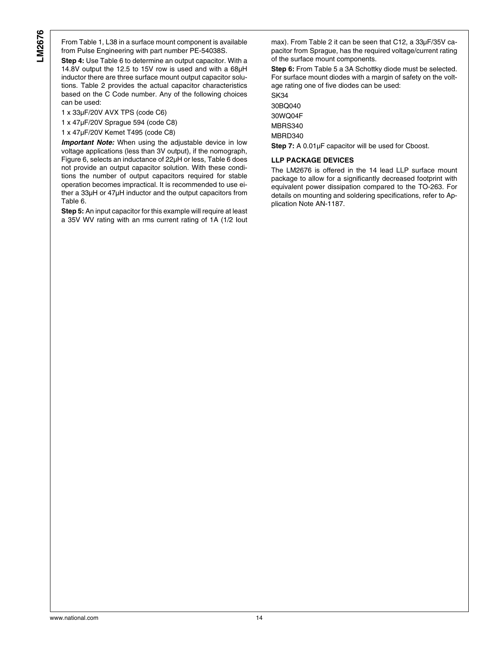From Table 1, L38 in a surface mount component is available from Pulse Engineering with part number PE-54038S.

**Step 4:** Use Table 6 to determine an output capacitor. With a 14.8V output the 12.5 to 15V row is used and with a 68μH inductor there are three surface mount output capacitor solutions. Table 2 provides the actual capacitor characteristics based on the C Code number. Any of the following choices can be used:

1 x 33μF/20V AVX TPS (code C6)

1 x 47μF/20V Sprague 594 (code C8)

1 x 47μF/20V Kemet T495 (code C8)

*Important Note:* When using the adjustable device in low voltage applications (less than 3V output), if the nomograph, Figure 6, selects an inductance of 22μH or less, Table 6 does not provide an output capacitor solution. With these conditions the number of output capacitors required for stable operation becomes impractical. It is recommended to use either a 33μH or 47μH inductor and the output capacitors from Table 6.

**Step 5:** An input capacitor for this example will require at least a 35V WV rating with an rms current rating of 1A (1/2 Iout max). From Table 2 it can be seen that C12, a 33μF/35V capacitor from Sprague, has the required voltage/current rating of the surface mount components.

**Step 6:** From Table 5 a 3A Schottky diode must be selected. For surface mount diodes with a margin of safety on the voltage rating one of five diodes can be used:

SK34 30BQ040 30WQ04F MBRS340 MBRD340

Step 7: A 0.01µF capacitor will be used for Cboost.

#### **LLP PACKAGE DEVICES**

The LM2676 is offered in the 14 lead LLP surface mount package to allow for a significantly decreased footprint with equivalent power dissipation compared to the TO-263. For details on mounting and soldering specifications, refer to Application Note AN-1187.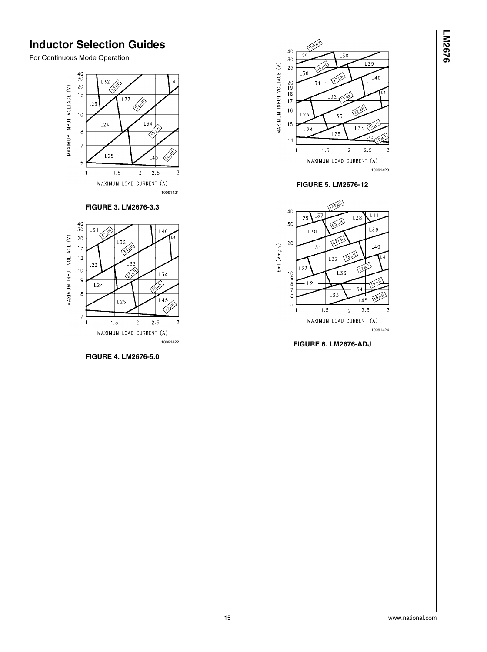



#### **FIGURE 5. LM2676-12**



**FIGURE 6. LM2676-ADJ**

## <span id="page-14-0"></span>**Inductor Selection Guides**

For Continuous Mode Operation



#### **FIGURE 3. LM2676-3.3**



**FIGURE 4. LM2676-5.0**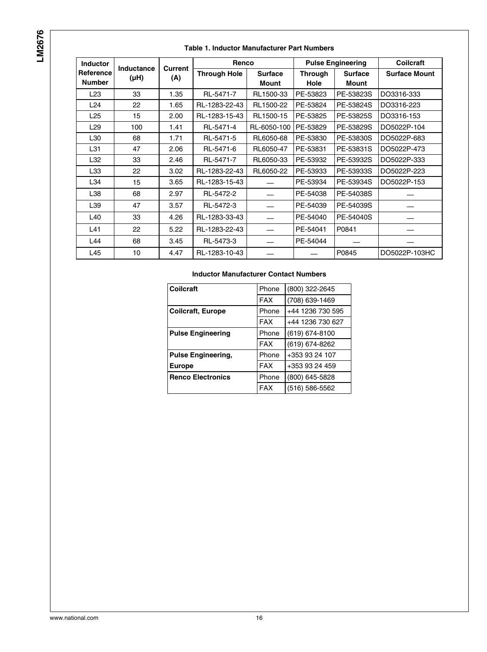#### **Table 1. Inductor Manufacturer Part Numbers**

| <b>Inductor</b>            |                           |                | Renco               |                                |                        | <b>Pulse Engineering</b> | <b>Collcraft</b>     |
|----------------------------|---------------------------|----------------|---------------------|--------------------------------|------------------------|--------------------------|----------------------|
| Reference<br><b>Number</b> | <b>Inductance</b><br>(µH) | Current<br>(A) | <b>Through Hole</b> | <b>Surface</b><br><b>Mount</b> | <b>Through</b><br>Hole | <b>Surface</b><br>Mount  | <b>Surface Mount</b> |
| L <sub>23</sub>            | 33                        | 1.35           | RL-5471-7           | RL1500-33                      | PE-53823               | PE-53823S                | DO3316-333           |
| L24                        | 22                        | 1.65           | RL-1283-22-43       | RL1500-22                      | PE-53824               | PE-53824S                | DO3316-223           |
| L25                        | 15                        | 2.00           | RL-1283-15-43       | RL1500-15                      | PE-53825               | PE-53825S                | DO3316-153           |
| L29                        | 100                       | 1.41           | RL-5471-4           | RL-6050-100                    | PE-53829               | PE-53829S                | DO5022P-104          |
| L30                        | 68                        | 1.71           | RL-5471-5           | RL6050-68                      | PE-53830               | PE-53830S                | DO5022P-683          |
| L31                        | 47                        | 2.06           | RL-5471-6           | RL6050-47                      | PE-53831               | PE-53831S                | DO5022P-473          |
| L32                        | 33                        | 2.46           | RL-5471-7           | RL6050-33                      | PE-53932               | PE-53932S                | DO5022P-333          |
| L33                        | 22                        | 3.02           | RL-1283-22-43       | RL6050-22                      | PE-53933               | PE-53933S                | DO5022P-223          |
| L34                        | 15                        | 3.65           | RL-1283-15-43       |                                | PE-53934               | PE-53934S                | DO5022P-153          |
| L38                        | 68                        | 2.97           | RL-5472-2           |                                | PE-54038               | PE-54038S                |                      |
| L39                        | 47                        | 3.57           | RL-5472-3           |                                | PE-54039               | PE-54039S                |                      |
| L40                        | 33                        | 4.26           | RL-1283-33-43       |                                | PE-54040               | PE-54040S                |                      |
| L41                        | 22                        | 5.22           | RL-1283-22-43       |                                | PE-54041               | P0841                    |                      |
| L44                        | 68                        | 3.45           | RL-5473-3           |                                | PE-54044               |                          |                      |
| L45                        | 10                        | 4.47           | RL-1283-10-43       |                                |                        | P0845                    | DO5022P-103HC        |

#### **Inductor Manufacturer Contact Numbers**

| Coilcraft                 | Phone      | (800) 322-2645   |
|---------------------------|------------|------------------|
|                           | <b>FAX</b> | (708) 639-1469   |
| <b>Coilcraft, Europe</b>  | Phone      | +44 1236 730 595 |
|                           | <b>FAX</b> | +44 1236 730 627 |
| <b>Pulse Engineering</b>  | Phone      | (619) 674-8100   |
|                           | <b>FAX</b> | (619) 674-8262   |
| <b>Pulse Engineering,</b> | Phone      | +353 93 24 107   |
| <b>Europe</b>             | <b>FAX</b> | +353 93 24 459   |
| <b>Renco Electronics</b>  | Phone      | (800) 645-5828   |
|                           | <b>FAX</b> | (516) 586-5562   |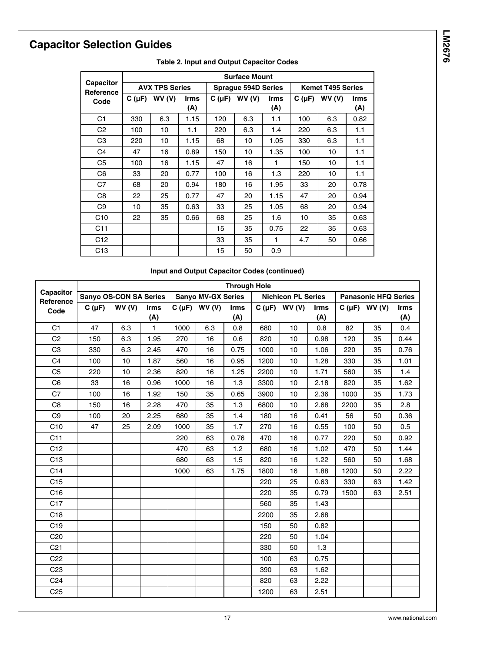# **Capacitor Selection Guides**

|                               |            | <b>Surface Mount</b>  |                    |            |                            |                    |            |                          |                    |  |  |
|-------------------------------|------------|-----------------------|--------------------|------------|----------------------------|--------------------|------------|--------------------------|--------------------|--|--|
| <b>Capacitor</b><br>Reference |            | <b>AVX TPS Series</b> |                    |            | <b>Sprague 594D Series</b> |                    |            | <b>Kemet T495 Series</b> |                    |  |  |
| Code                          | $C(\mu F)$ | WV(V)                 | <b>Irms</b><br>(A) | $C(\mu F)$ | WV(V)                      | <b>Irms</b><br>(A) | $C(\mu F)$ | WV(V)                    | <b>Irms</b><br>(A) |  |  |
| C <sub>1</sub>                | 330        | 6.3                   | 1.15               | 120        | 6.3                        | 1.1                | 100        | 6.3                      | 0.82               |  |  |
| C <sub>2</sub>                | 100        | 10                    | 1.1                | 220        | 6.3                        | 1.4                | 220        | 6.3                      | 1.1                |  |  |
| C <sub>3</sub>                | 220        | 10                    | 1.15               | 68         | 10                         | 1.05               | 330        | 6.3                      | 1.1                |  |  |
| C <sub>4</sub>                | 47         | 16                    | 0.89               | 150        | 10                         | 1.35               | 100        | 10                       | 1.1                |  |  |
| C <sub>5</sub>                | 100        | 16                    | 1.15               | 47         | 16                         | 1                  | 150        | 10                       | 1.1                |  |  |
| C <sub>6</sub>                | 33         | 20                    | 0.77               | 100        | 16                         | 1.3                | 220        | 10                       | 1.1                |  |  |
| C7                            | 68         | 20                    | 0.94               | 180        | 16                         | 1.95               | 33         | 20                       | 0.78               |  |  |
| C <sub>8</sub>                | 22         | 25                    | 0.77               | 47         | 20                         | 1.15               | 47         | 20                       | 0.94               |  |  |
| C <sub>9</sub>                | 10         | 35                    | 0.63               | 33         | 25                         | 1.05               | 68         | 20                       | 0.94               |  |  |
| C10                           | 22         | 35                    | 0.66               | 68         | 25                         | 1.6                | 10         | 35                       | 0.63               |  |  |
| C <sub>11</sub>               |            |                       |                    | 15         | 35                         | 0.75               | 22         | 35                       | 0.63               |  |  |
| C12                           |            |                       |                    | 33         | 35                         | 1                  | 4.7        | 50                       | 0.66               |  |  |
| C <sub>13</sub>               |            |                       |                    | 15         | 50                         | 0.9                |            |                          |                    |  |  |

#### **Table 2. Input and Output Capacitor Codes**

#### **Input and Output Capacitor Codes (continued)**

|                        |                        |       |             |      |                           | <b>Through Hole</b> |      |                           |             |      |                             |             |
|------------------------|------------------------|-------|-------------|------|---------------------------|---------------------|------|---------------------------|-------------|------|-----------------------------|-------------|
| Capacitor<br>Reference | Sanyo OS-CON SA Series |       |             |      | <b>Sanyo MV-GX Series</b> |                     |      | <b>Nichicon PL Series</b> |             |      | <b>Panasonic HFQ Series</b> |             |
| Code                   | $C(\mu F)$             | WV(V) | <b>Irms</b> |      | $C(\mu F)$ WV (V)         | <b>Irms</b>         |      | $C(\mu F)$ WV (V)         | <b>Irms</b> |      | $C(\mu F)$ WV (V)           | <b>Irms</b> |
|                        |                        |       | (A)         |      |                           | (A)                 |      |                           | (A)         |      |                             | (A)         |
| C <sub>1</sub>         | 47                     | 6.3   | 1.          | 1000 | 6.3                       | 0.8                 | 680  | 10                        | 0.8         | 82   | 35                          | 0.4         |
| C <sub>2</sub>         | 150                    | 6.3   | 1.95        | 270  | 16                        | 0.6                 | 820  | 10                        | 0.98        | 120  | 35                          | 0.44        |
| C <sub>3</sub>         | 330                    | 6.3   | 2.45        | 470  | 16                        | 0.75                | 1000 | 10                        | 1.06        | 220  | 35                          | 0.76        |
| C <sub>4</sub>         | 100                    | 10    | 1.87        | 560  | 16                        | 0.95                | 1200 | 10                        | 1.28        | 330  | 35                          | 1.01        |
| C <sub>5</sub>         | 220                    | 10    | 2.36        | 820  | 16                        | 1.25                | 2200 | 10                        | 1.71        | 560  | 35                          | 1.4         |
| C <sub>6</sub>         | 33                     | 16    | 0.96        | 1000 | 16                        | 1.3                 | 3300 | 10                        | 2.18        | 820  | 35                          | 1.62        |
| C7                     | 100                    | 16    | 1.92        | 150  | 35                        | 0.65                | 3900 | 10                        | 2.36        | 1000 | 35                          | 1.73        |
| C <sub>8</sub>         | 150                    | 16    | 2.28        | 470  | 35                        | 1.3                 | 6800 | 10                        | 2.68        | 2200 | 35                          | 2.8         |
| C <sub>9</sub>         | 100                    | 20    | 2.25        | 680  | 35                        | 1.4                 | 180  | 16                        | 0.41        | 56   | 50                          | 0.36        |
| C10                    | 47                     | 25    | 2.09        | 1000 | 35                        | 1.7                 | 270  | 16                        | 0.55        | 100  | 50                          | 0.5         |
| C11                    |                        |       |             | 220  | 63                        | 0.76                | 470  | 16                        | 0.77        | 220  | 50                          | 0.92        |
| C12                    |                        |       |             | 470  | 63                        | 1.2                 | 680  | 16                        | 1.02        | 470  | 50                          | 1.44        |
| C <sub>13</sub>        |                        |       |             | 680  | 63                        | 1.5                 | 820  | 16                        | 1.22        | 560  | 50                          | 1.68        |
| C <sub>14</sub>        |                        |       |             | 1000 | 63                        | 1.75                | 1800 | 16                        | 1.88        | 1200 | 50                          | 2.22        |
| C15                    |                        |       |             |      |                           |                     | 220  | 25                        | 0.63        | 330  | 63                          | 1.42        |
| C <sub>16</sub>        |                        |       |             |      |                           |                     | 220  | 35                        | 0.79        | 1500 | 63                          | 2.51        |
| C17                    |                        |       |             |      |                           |                     | 560  | 35                        | 1.43        |      |                             |             |
| C <sub>18</sub>        |                        |       |             |      |                           |                     | 2200 | 35                        | 2.68        |      |                             |             |
| C <sub>19</sub>        |                        |       |             |      |                           |                     | 150  | 50                        | 0.82        |      |                             |             |
| C <sub>20</sub>        |                        |       |             |      |                           |                     | 220  | 50                        | 1.04        |      |                             |             |
| C <sub>21</sub>        |                        |       |             |      |                           |                     | 330  | 50                        | 1.3         |      |                             |             |
| C <sub>22</sub>        |                        |       |             |      |                           |                     | 100  | 63                        | 0.75        |      |                             |             |
| C <sub>23</sub>        |                        |       |             |      |                           |                     | 390  | 63                        | 1.62        |      |                             |             |
| C <sub>24</sub>        |                        |       |             |      |                           |                     | 820  | 63                        | 2.22        |      |                             |             |
| C <sub>25</sub>        |                        |       |             |      |                           |                     | 1200 | 63                        | 2.51        |      |                             |             |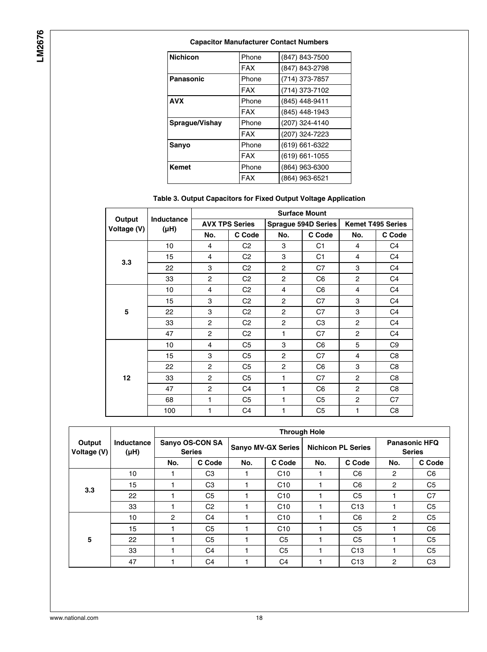**LM2676**

#### **Capacitor Manufacturer Contact Numbers**

| <b>Nichicon</b> | Phone      | (847) 843-7500 |
|-----------------|------------|----------------|
|                 | <b>FAX</b> | (847) 843-2798 |
|                 |            |                |
| Panasonic       | Phone      | (714) 373-7857 |
|                 | <b>FAX</b> | (714) 373-7102 |
| <b>AVX</b>      | Phone      | (845) 448-9411 |
|                 | <b>FAX</b> | (845) 448-1943 |
| Sprague/Vishay  | Phone      | (207) 324-4140 |
|                 | <b>FAX</b> | (207) 324-7223 |
| Sanyo           | Phone      | (619) 661-6322 |
|                 | <b>FAX</b> | (619) 661-1055 |
| Kemet           | Phone      | (864) 963-6300 |
|                 | <b>FAX</b> | (864) 963-6521 |

#### **Table 3. Output Capacitors for Fixed Output Voltage Application**

|                       |                    |                |                       |                | <b>Surface Mount</b>       |     |                          |
|-----------------------|--------------------|----------------|-----------------------|----------------|----------------------------|-----|--------------------------|
| Output<br>Voltage (V) | Inductance<br>(HH) |                | <b>AVX TPS Series</b> |                | <b>Sprague 594D Series</b> |     | <b>Kemet T495 Series</b> |
|                       |                    | No.            | C Code                | No.            | C Code                     | No. | C Code                   |
|                       | 10                 | 4              | C <sub>2</sub>        | 3              | C <sub>1</sub>             | 4   | C4                       |
| 3.3                   | 15                 | 4              | C <sub>2</sub>        | 3              | C <sub>1</sub>             | 4   | C <sub>4</sub>           |
|                       | 22                 | 3              | C <sub>2</sub>        | $\overline{2}$ | C7                         | 3   | C <sub>4</sub>           |
|                       | 33                 | $\overline{2}$ | C <sub>2</sub>        | $\overline{2}$ | C <sub>6</sub>             | 2   | C <sub>4</sub>           |
|                       | 10                 | 4              | C <sub>2</sub>        | 4              | C <sub>6</sub>             | 4   | C <sub>4</sub>           |
|                       | 15                 | 3              | C2                    | $\overline{2}$ | C7                         | 3   | C4                       |
| 5                     | 22                 | 3              | C <sub>2</sub>        | $\overline{2}$ | C7                         | 3   | C <sub>4</sub>           |
|                       | 33                 | $\overline{2}$ | C <sub>2</sub>        | $\overline{2}$ | C <sub>3</sub>             | 2   | C <sub>4</sub>           |
|                       | 47                 | $\overline{2}$ | C <sub>2</sub>        | 1              | C7                         | 2   | C <sub>4</sub>           |
|                       | 10                 | 4              | C <sub>5</sub>        | 3              | C <sub>6</sub>             | 5   | C9                       |
|                       | 15                 | 3              | C <sub>5</sub>        | $\overline{2}$ | C7                         | 4   | C8                       |
|                       | 22                 | $\overline{c}$ | C <sub>5</sub>        | $\overline{2}$ | C <sub>6</sub>             | 3   | C8                       |
| 12                    | 33                 | $\overline{c}$ | C5                    | 1              | C7                         | 2   | C8                       |
|                       | 47                 | $\overline{2}$ | C <sub>4</sub>        | 1              | C <sub>6</sub>             | 2   | C <sub>8</sub>           |
|                       | 68                 | 1              | C <sub>5</sub>        | 1              | C <sub>5</sub>             | 2   | C7                       |
|                       | 100                | 1              | C <sub>4</sub>        | 1              | C <sub>5</sub>             | 1   | C8                       |

|                       |                         | <b>Through Hole</b>              |                |     |                           |     |                           |                                       |                |  |  |
|-----------------------|-------------------------|----------------------------------|----------------|-----|---------------------------|-----|---------------------------|---------------------------------------|----------------|--|--|
| Output<br>Voltage (V) | Inductance<br>$(\mu H)$ | Sanyo OS-CON SA<br><b>Series</b> |                |     | <b>Sanyo MV-GX Series</b> |     | <b>Nichicon PL Series</b> | <b>Panasonic HFQ</b><br><b>Series</b> |                |  |  |
|                       |                         | No.                              | C Code         | No. | C Code                    | No. | C Code                    | No.                                   | C Code         |  |  |
|                       | 10 <sup>10</sup>        |                                  | C <sub>3</sub> |     | C10                       |     | C <sub>6</sub>            | $\overline{c}$                        | C <sub>6</sub> |  |  |
| 3.3                   | 15                      |                                  | C <sub>3</sub> |     | C10                       |     | C <sub>6</sub>            | $\mathbf{2}$                          | C <sub>5</sub> |  |  |
|                       | 22                      |                                  | C <sub>5</sub> |     | C10                       |     | C <sub>5</sub>            |                                       | C7             |  |  |
|                       | 33                      |                                  | C <sub>2</sub> |     | C10                       |     | C <sub>13</sub>           |                                       | C <sub>5</sub> |  |  |
|                       | 10                      | 2                                | C <sub>4</sub> |     | C10                       |     | C <sub>6</sub>            | $\overline{c}$                        | C <sub>5</sub> |  |  |
|                       | 15                      |                                  | C <sub>5</sub> |     | C10                       |     | C <sub>5</sub>            |                                       | C <sub>6</sub> |  |  |
| 5                     | 22                      |                                  | C <sub>5</sub> |     | C <sub>5</sub>            |     | C <sub>5</sub>            |                                       | C <sub>5</sub> |  |  |
|                       | 33                      |                                  | C4             |     | C <sub>5</sub>            |     | C <sub>13</sub>           |                                       | C <sub>5</sub> |  |  |
|                       | 47                      |                                  | C4             |     | C <sub>4</sub>            |     | C <sub>13</sub>           | $\overline{c}$                        | C <sub>3</sub> |  |  |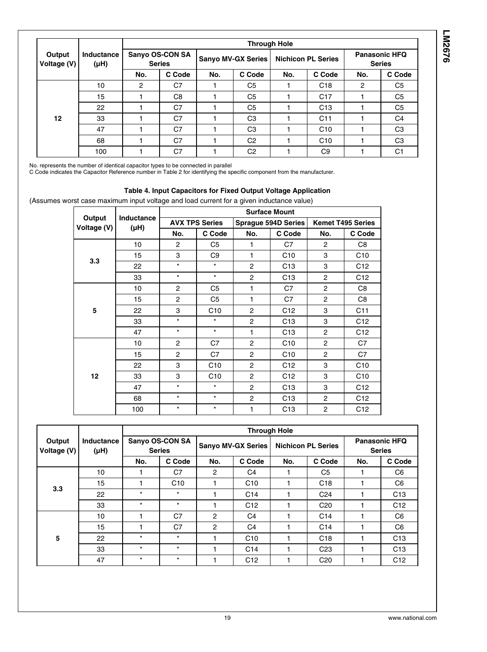|                       |                           |                                  | <b>Through Hole</b> |                           |                |                           |                 |                                       |                |  |  |  |
|-----------------------|---------------------------|----------------------------------|---------------------|---------------------------|----------------|---------------------------|-----------------|---------------------------------------|----------------|--|--|--|
| Output<br>Voltage (V) | <b>Inductance</b><br>(µH) | Sanyo OS-CON SA<br><b>Series</b> |                     | <b>Sanyo MV-GX Series</b> |                | <b>Nichicon PL Series</b> |                 | <b>Panasonic HFQ</b><br><b>Series</b> |                |  |  |  |
|                       |                           | No.                              | C Code              | No.                       | C Code         | No.                       | C Code          | No.                                   | C Code         |  |  |  |
|                       | 10                        | 2                                | C7                  |                           | C <sub>5</sub> |                           | C <sub>18</sub> | $\overline{2}$                        | C <sub>5</sub> |  |  |  |
|                       | 15                        |                                  | C <sub>8</sub>      |                           | C <sub>5</sub> |                           | C <sub>17</sub> |                                       | C <sub>5</sub> |  |  |  |
|                       | 22                        |                                  | C7                  |                           | C <sub>5</sub> |                           | C <sub>13</sub> |                                       | C <sub>5</sub> |  |  |  |
| 12                    | 33                        |                                  | C <sub>7</sub>      |                           | C <sub>3</sub> |                           | C <sub>11</sub> |                                       | C <sub>4</sub> |  |  |  |
|                       | 47                        |                                  | C7                  |                           | C <sub>3</sub> |                           | C10             |                                       | C <sub>3</sub> |  |  |  |
|                       | 68                        |                                  | C7                  |                           | C <sub>2</sub> |                           | C10             |                                       | C <sub>3</sub> |  |  |  |
|                       | 100                       |                                  | C7                  |                           | C <sub>2</sub> |                           | C <sub>9</sub>  |                                       | C <sub>1</sub> |  |  |  |

No. represents the number of identical capacitor types to be connected in parallel

C Code indicates the Capacitor Reference number in Table 2 for identifying the specific component from the manufacturer.

#### **Table 4. Input Capacitors for Fixed Output Voltage Application**

(Assumes worst case maximum input voltage and load current for a given inductance value)

|                       |                                |                |                       |                | <b>Surface Mount</b> |                |                          |
|-----------------------|--------------------------------|----------------|-----------------------|----------------|----------------------|----------------|--------------------------|
| Output<br>Voltage (V) | <b>Inductance</b><br>$(\mu H)$ |                | <b>AVX TPS Series</b> |                | Sprague 594D Series  |                | <b>Kemet T495 Series</b> |
|                       |                                | No.            | C Code                | No.            | C Code               | No.            | C Code                   |
|                       | 10                             | $\overline{c}$ | C <sub>5</sub>        | 1              | C7                   | $\overline{2}$ | C8                       |
| 3.3                   | 15                             | 3              | C <sub>9</sub>        | 1              | C10                  | 3              | C10                      |
|                       | 22                             | $\star$        | $\star$               | 2              | C <sub>13</sub>      | 3              | C <sub>12</sub>          |
|                       | 33                             | $\star$        | $\star$               | $\overline{2}$ | C <sub>13</sub>      | $\overline{2}$ | C12                      |
|                       | 10                             | $\overline{c}$ | C <sub>5</sub>        | 1              | C7                   | 2              | C8                       |
|                       | 15                             | $\overline{2}$ | C <sub>5</sub>        | 1              | C7                   | $\overline{2}$ | C8                       |
| 5                     | 22                             | 3              | C10                   | $\overline{2}$ | C <sub>12</sub>      | 3              | C11                      |
|                       | 33                             | $\star$        | $\star$               | $\overline{2}$ | C13                  | 3              | C12                      |
|                       | 47                             | $\star$        | $\star$               | 1              | C13                  | $\overline{2}$ | C12                      |
|                       | 10                             | 2              | C7                    | $\overline{2}$ | C10                  | $\overline{2}$ | C7                       |
|                       | 15                             | $\overline{2}$ | C7                    | $\overline{2}$ | C10                  | $\overline{2}$ | C7                       |
|                       | 22                             | 3              | C10                   | $\overline{2}$ | C <sub>12</sub>      | 3              | C10                      |
| 12                    | 33                             | 3              | C10                   | 2              | C12                  | 3              | C10                      |
|                       | 47                             | $\star$        | $\star$               | $\overline{2}$ | C13                  | 3              | C12                      |
|                       | 68                             | $\star$        | $\star$               | $\overline{2}$ | C13                  | 2              | C <sub>12</sub>          |
|                       | 100                            | $\star$        | $\star$               | 1              | C13                  | 2              | C <sub>12</sub>          |

|                       |                         |                                  | <b>Through Hole</b> |                    |                 |                           |                 |                                       |                 |  |  |  |  |
|-----------------------|-------------------------|----------------------------------|---------------------|--------------------|-----------------|---------------------------|-----------------|---------------------------------------|-----------------|--|--|--|--|
| Output<br>Voltage (V) | Inductance<br>$(\mu H)$ | Sanyo OS-CON SA<br><b>Series</b> |                     | Sanyo MV-GX Series |                 | <b>Nichicon PL Series</b> |                 | <b>Panasonic HFQ</b><br><b>Series</b> |                 |  |  |  |  |
|                       |                         | No.                              | C Code              | No.                | C Code          | No.                       | C Code          | No.                                   | C Code          |  |  |  |  |
|                       | 10                      |                                  | C7                  | $\overline{c}$     | C4              |                           | C <sub>5</sub>  |                                       | C <sub>6</sub>  |  |  |  |  |
| 3.3                   | 15                      |                                  | C10                 |                    | C10             |                           | C <sub>18</sub> |                                       | C <sub>6</sub>  |  |  |  |  |
|                       | 22                      | $\star$                          | $\star$             |                    | C <sub>14</sub> |                           | C <sub>24</sub> |                                       | C13             |  |  |  |  |
|                       | 33                      | $\star$                          | $\star$             |                    | C12             |                           | C <sub>20</sub> |                                       | C12             |  |  |  |  |
|                       | 10                      |                                  | C7                  | $\overline{c}$     | C <sub>4</sub>  |                           | C <sub>14</sub> |                                       | C <sub>6</sub>  |  |  |  |  |
|                       | 15                      |                                  | C <sub>7</sub>      | $\overline{c}$     | C <sub>4</sub>  |                           | C <sub>14</sub> |                                       | C <sub>6</sub>  |  |  |  |  |
| 5                     | 22                      | $\star$                          | $\star$             |                    | C10             |                           | C <sub>18</sub> |                                       | C13             |  |  |  |  |
|                       | 33                      | $\star$                          | $\star$             |                    | C <sub>14</sub> |                           | C <sub>23</sub> |                                       | C <sub>13</sub> |  |  |  |  |
|                       | 47                      | $\star$                          | $\star$             |                    | C12             |                           | C <sub>20</sub> |                                       | C12             |  |  |  |  |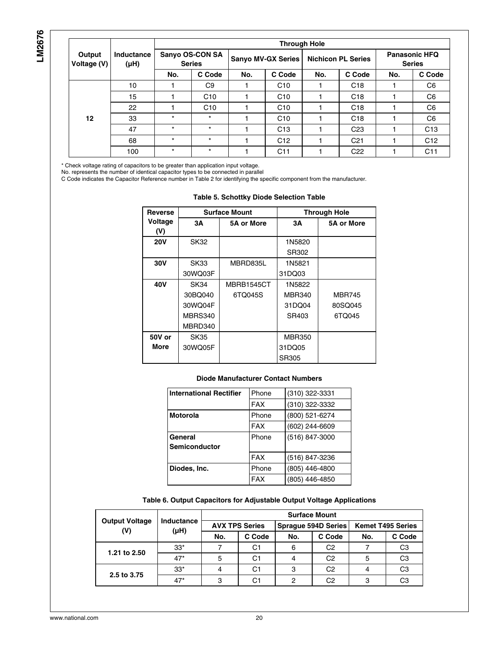| ľ<br>٠ |
|--------|
|        |
| ř.     |
|        |
|        |
|        |
|        |

|                       | Inductance<br>$(\mu H)$ | <b>Through Hole</b>              |                |                    |                 |                           |                 |                                       |                 |  |  |
|-----------------------|-------------------------|----------------------------------|----------------|--------------------|-----------------|---------------------------|-----------------|---------------------------------------|-----------------|--|--|
| Output<br>Voltage (V) |                         | Sanyo OS-CON SA<br><b>Series</b> |                | Sanyo MV-GX Series |                 | <b>Nichicon PL Series</b> |                 | <b>Panasonic HFQ</b><br><b>Series</b> |                 |  |  |
|                       |                         | No.                              | C Code         | No.                | C Code          | No.                       | C Code          | No.                                   | C Code          |  |  |
|                       | 10                      |                                  | C <sub>9</sub> |                    | C10             |                           | C <sub>18</sub> |                                       | C <sub>6</sub>  |  |  |
|                       | 15                      |                                  | C10            |                    | C10             |                           | C18             |                                       | C <sub>6</sub>  |  |  |
|                       | 22                      |                                  | C10            |                    | C10             |                           | C <sub>18</sub> |                                       | C <sub>6</sub>  |  |  |
| 12                    | 33                      | $\star$                          | $\star$        |                    | C10             |                           | C <sub>18</sub> |                                       | C <sub>6</sub>  |  |  |
|                       | 47                      | $\star$                          | $\star$        |                    | C <sub>13</sub> |                           | C <sub>23</sub> |                                       | C <sub>13</sub> |  |  |
|                       | 68                      | $\star$                          | $\star$        |                    | C12             |                           | C <sub>21</sub> |                                       | C12             |  |  |
|                       | 100                     | $\star$                          | $\star$        |                    | C <sub>11</sub> |                           | C <sub>22</sub> |                                       | C <sub>11</sub> |  |  |

\* Check voltage rating of capacitors to be greater than application input voltage.

No. represents the number of identical capacitor types to be connected in parallel

C Code indicates the Capacitor Reference number in Table 2 for identifying the specific component from the manufacturer.

|                |             | uwiw wi wwitwitty .  |               |                     |
|----------------|-------------|----------------------|---------------|---------------------|
| <b>Reverse</b> |             | <b>Surface Mount</b> |               | <b>Through Hole</b> |
| Voltage<br>(V) | 3А          | <b>5A or More</b>    | 3А            | <b>5A or More</b>   |
| <b>20V</b>     | <b>SK32</b> |                      | 1N5820        |                     |
|                |             |                      | SR302         |                     |
| 30V            | <b>SK33</b> | MBRD835L             | 1N5821        |                     |
|                | 30WQ03F     |                      | 31DQ03        |                     |
| 40V            | SK34        | MBRB1545CT           | 1N5822        |                     |
|                | 30BQ040     | 6TQ045S              | <b>MBR340</b> | <b>MBR745</b>       |
|                | 30WQ04F     |                      | 31DQ04        | 80SQ045             |
|                | MBRS340     |                      | SR403         | 6TQ045              |
|                | MBRD340     |                      |               |                     |
| 50V or         | <b>SK35</b> |                      | <b>MBR350</b> |                     |
| More           | 30WQ05F     |                      | 31DQ05        |                     |
|                |             |                      | SR305         |                     |

#### **Table 5. Schottky Diode Selection Table**

#### **Diode Manufacturer Contact Numbers**

| <b>International Rectifier</b> | Phone      | (310) 322-3331 |
|--------------------------------|------------|----------------|
|                                | <b>FAX</b> | (310) 322-3332 |
| <b>Motorola</b>                | Phone      | (800) 521-6274 |
|                                | <b>FAX</b> | (602) 244-6609 |
| General                        | Phone      | (516) 847-3000 |
| <b>Semiconductor</b>           |            |                |
|                                | <b>FAX</b> | (516) 847-3236 |
| Diodes, Inc.                   | Phone      | (805) 446-4800 |
|                                | <b>FAX</b> | (805) 446-4850 |

#### **Table 6. Output Capacitors for Adjustable Output Voltage Applications**

|                              |                                | <b>Surface Mount</b>  |        |     |                     |                          |                |  |  |  |
|------------------------------|--------------------------------|-----------------------|--------|-----|---------------------|--------------------------|----------------|--|--|--|
| <b>Output Voltage</b><br>(V) | <b>Inductance</b><br>$(\mu H)$ | <b>AVX TPS Series</b> |        |     | Sprague 594D Series | <b>Kemet T495 Series</b> |                |  |  |  |
|                              |                                | No.                   | C Code | No. | C Code              | No.                      | C Code         |  |  |  |
|                              | $33*$                          |                       | C1     | 6   | C2                  |                          | C <sub>3</sub> |  |  |  |
| 1.21 to 2.50                 | $47*$                          | 5                     | C1     |     | C2                  | 5                        | C <sub>3</sub> |  |  |  |
|                              | $33*$                          |                       | C1     | ິ   | C2                  |                          | C <sub>3</sub> |  |  |  |
| 2.5 to 3.75                  | $47*$                          | 3                     | C1     | റ   | C2                  | 3                        | C <sub>3</sub> |  |  |  |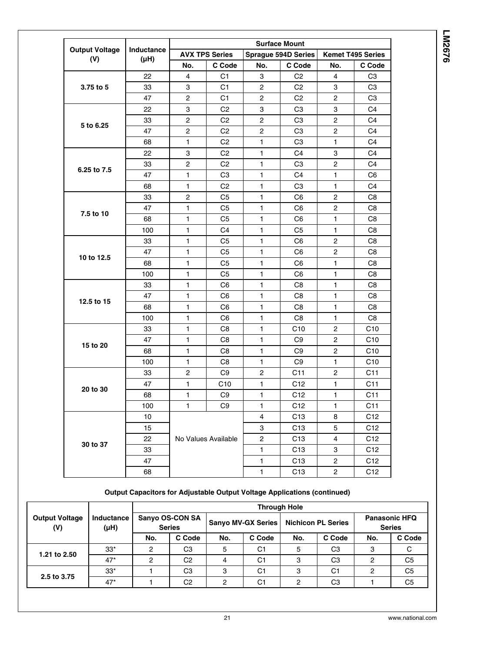|                                     |                         |                           |                       |                         | <b>Surface Mount</b> |                          |                 |  |  |
|-------------------------------------|-------------------------|---------------------------|-----------------------|-------------------------|----------------------|--------------------------|-----------------|--|--|
| <b>Output Voltage</b><br>(V)        | Inductance<br>$(\mu H)$ |                           | <b>AVX TPS Series</b> |                         | Sprague 594D Series  | <b>Kemet T495 Series</b> |                 |  |  |
|                                     |                         | No.                       | C Code                | No.                     | C Code               | No.                      | C Code          |  |  |
|                                     | 22                      | 4                         | C <sub>1</sub>        | 3                       | C <sub>2</sub>       | 4                        | C <sub>3</sub>  |  |  |
| 3.75 to 5                           | 33                      | 3                         | C <sub>1</sub>        | $\overline{2}$          | C <sub>2</sub>       | 3                        | C <sub>3</sub>  |  |  |
|                                     | 47                      | $\overline{2}$            | C <sub>1</sub>        | $\overline{2}$          | C <sub>2</sub>       | $\overline{2}$           | C <sub>3</sub>  |  |  |
|                                     | 22                      | 3                         | C <sub>2</sub>        | 3                       | C <sub>3</sub>       | 3                        | C <sub>4</sub>  |  |  |
|                                     | 33                      | $\overline{2}$            | C <sub>2</sub>        | $\overline{2}$          | C <sub>3</sub>       | $\overline{2}$           | C4              |  |  |
| 5 to 6.25                           | 47                      | 2                         | C <sub>2</sub>        | $\overline{2}$          | C <sub>3</sub>       | $\overline{2}$           | C <sub>4</sub>  |  |  |
|                                     | 68                      | $\mathbf{1}$              | C <sub>2</sub>        | 1                       | C <sub>3</sub>       | 1                        | C4              |  |  |
|                                     | 22                      | $\ensuremath{\mathsf{3}}$ | C <sub>2</sub>        | $\mathbf{1}$            | C <sub>4</sub>       | 3                        | C <sub>4</sub>  |  |  |
|                                     | 33                      | $\boldsymbol{2}$          | C <sub>2</sub>        | $\mathbf{1}$            | C <sub>3</sub>       | $\mathbf 2$              | C <sub>4</sub>  |  |  |
| 6.25 to 7.5                         | 47                      | $\mathbf{1}$              | C <sub>3</sub>        | 1                       | C <sub>4</sub>       | 1                        | C <sub>6</sub>  |  |  |
|                                     | 68                      | $\mathbf{1}$              | C <sub>2</sub>        | 1                       | C <sub>3</sub>       | $\mathbf{1}$             | C <sub>4</sub>  |  |  |
|                                     | 33                      | $\overline{c}$            | C <sub>5</sub>        | 1                       | C <sub>6</sub>       | $\overline{2}$           | C <sub>8</sub>  |  |  |
|                                     | 47                      | $\mathbf{1}$              | C <sub>5</sub>        | 1                       | C <sub>6</sub>       | $\overline{2}$           | C <sub>8</sub>  |  |  |
|                                     | 68                      | $\mathbf{1}$              | C <sub>5</sub>        | $\mathbf{1}$            | C <sub>6</sub>       | 1                        | C8              |  |  |
|                                     | 100                     | $\mathbf{1}$              | C <sub>4</sub>        | 1                       | C <sub>5</sub>       | 1                        | C8              |  |  |
|                                     | 33                      | $\mathbf{1}$              | C <sub>5</sub>        | $\mathbf{1}$            | C <sub>6</sub>       | $\overline{2}$           | C8              |  |  |
|                                     | 47                      | $\mathbf{1}$              | C <sub>5</sub>        | 1                       | C6                   | $\overline{c}$           | C <sub>8</sub>  |  |  |
|                                     | 68                      | 1                         | C <sub>5</sub>        | 1                       | C6                   | 1                        | C8              |  |  |
| 10 to 12.5                          | 100                     | $\mathbf{1}$              | C <sub>5</sub>        | 1                       | C <sub>6</sub>       | 1                        | C <sub>8</sub>  |  |  |
|                                     | 33                      | $\mathbf{1}$              | C <sub>6</sub>        | $\mathbf{1}$            | C <sub>8</sub>       | 1                        | C8              |  |  |
|                                     | 47                      | 1                         | C <sub>6</sub>        | 1                       | C <sub>8</sub>       | $\mathbf{1}$             | C <sub>8</sub>  |  |  |
|                                     | 68                      | $\mathbf{1}$              | C <sub>6</sub>        | 1                       | C <sub>8</sub>       | 1                        | C <sub>8</sub>  |  |  |
| 7.5 to 10<br>12.5 to 15<br>15 to 20 | 100                     | 1                         | C6                    | 1                       | C <sub>8</sub>       | 1                        | C <sub>8</sub>  |  |  |
|                                     | 33                      | $\mathbf{1}$              | C <sub>8</sub>        | 1                       | C10                  | 2                        | C10             |  |  |
|                                     | 47                      | $\mathbf{1}$              | C <sub>8</sub>        | $\mathbf{1}$            | C <sub>9</sub>       | $\overline{c}$           | C10             |  |  |
|                                     | 68                      | 1                         | C <sub>8</sub>        | 1                       | C <sub>9</sub>       | $\overline{2}$           | C10             |  |  |
|                                     | 100                     | 1                         | C <sub>8</sub>        | 1                       | C <sub>9</sub>       | 1                        | C <sub>10</sub> |  |  |
|                                     | 33                      | 2                         | C <sub>9</sub>        | $\mathbf{2}$            | C11                  | $\overline{c}$           | C <sub>11</sub> |  |  |
|                                     | 47                      | $\mathbf{1}$              | C10                   | 1                       | C <sub>12</sub>      | 1                        | C <sub>11</sub> |  |  |
| 20 to 30                            | 68                      | $\mathbf{1}$              | C <sub>9</sub>        | $\mathbf{1}$            | C12                  | $\mathbf{1}$             | C <sub>11</sub> |  |  |
|                                     | 100                     | $\mathbf{1}$              | C9                    | $\mathbf{1}$            | C12                  | 1                        | C11             |  |  |
|                                     | 10                      |                           |                       | 4                       | C <sub>13</sub>      | 8                        | C <sub>12</sub> |  |  |
|                                     | 15                      |                           |                       | 3                       | C <sub>13</sub>      | 5                        | C <sub>12</sub> |  |  |
|                                     | 22                      |                           | No Values Available   | $\overline{\mathbf{c}}$ | C <sub>13</sub>      | 4                        | C12             |  |  |
| 30 to 37                            | 33                      |                           |                       | 1                       | C <sub>13</sub>      | 3                        | C12             |  |  |
|                                     | 47                      |                           |                       | $\mathbf{1}$            | C <sub>13</sub>      | 2                        | C12             |  |  |
|                                     | 68                      |                           |                       | $\mathbf{1}$            | C <sub>13</sub>      | $\overline{\mathbf{c}}$  | C12             |  |  |

#### **Output Capacitors for Adjustable Output Voltage Applications (continued)**

|                              |                           | <b>Through Hole</b>              |                |                           |                |                           |                |                                       |                |  |  |
|------------------------------|---------------------------|----------------------------------|----------------|---------------------------|----------------|---------------------------|----------------|---------------------------------------|----------------|--|--|
| <b>Output Voltage</b><br>(V) | <b>Inductance</b><br>(µH) | Sanyo OS-CON SA<br><b>Series</b> |                | <b>Sanyo MV-GX Series</b> |                | <b>Nichicon PL Series</b> |                | <b>Panasonic HFQ</b><br><b>Series</b> |                |  |  |
|                              |                           | No.                              | C Code         | No.                       | C Code         | No.                       | C Code         | No.                                   | C Code         |  |  |
| 1.21 to 2.50                 | $33*$                     | റ                                | C <sub>3</sub> | 5                         | C <sub>1</sub> | 5                         | C <sub>3</sub> | 3                                     |                |  |  |
|                              | $47*$                     | ົ                                | C <sub>2</sub> | 4                         | C <sub>1</sub> | 3                         | C <sub>3</sub> | 2                                     | C <sub>5</sub> |  |  |
| 2.5 to 3.75                  | $33*$                     |                                  | C <sub>3</sub> | 3                         | C <sub>1</sub> | 3                         | C1             | 2                                     | C <sub>5</sub> |  |  |
|                              | $47*$                     |                                  | C <sub>2</sub> | C                         | C1             | 2                         | C <sub>3</sub> |                                       | C <sub>5</sub> |  |  |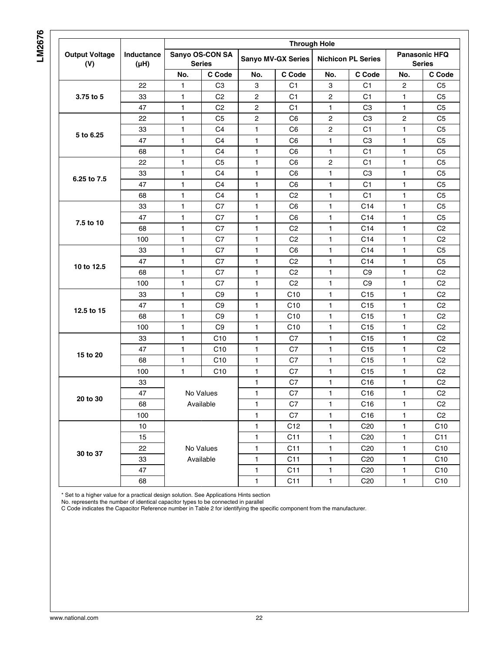# **LM2676**

| <b>Output Voltage</b><br>(V) | <b>Inductance</b><br>$(\mu H)$ | <b>Through Hole</b>              |                |                           |                |                           |                 |                                       |                 |  |
|------------------------------|--------------------------------|----------------------------------|----------------|---------------------------|----------------|---------------------------|-----------------|---------------------------------------|-----------------|--|
|                              |                                | Sanyo OS-CON SA<br><b>Series</b> |                | <b>Sanyo MV-GX Series</b> |                | <b>Nichicon PL Series</b> |                 | <b>Panasonic HFQ</b><br><b>Series</b> |                 |  |
|                              |                                | No.                              | C Code         | No.                       | C Code         | No.                       | C Code          | No.                                   | C Code          |  |
| 3.75 to 5                    | 22                             | 1                                | CЗ             | 3                         | C1             | 3                         | C <sub>1</sub>  | 2                                     | C <sub>5</sub>  |  |
|                              | 33                             | 1                                | C <sub>2</sub> | $\overline{2}$            | C <sub>1</sub> | 2                         | C <sub>1</sub>  | 1                                     | C <sub>5</sub>  |  |
|                              | 47                             | 1                                | C <sub>2</sub> | $\overline{c}$            | C <sub>1</sub> | 1                         | C <sub>3</sub>  | 1                                     | C <sub>5</sub>  |  |
| 5 to 6.25                    | 22                             | 1                                | C <sub>5</sub> | $\overline{c}$            | C <sub>6</sub> | 2                         | C <sub>3</sub>  | 2                                     | C <sub>5</sub>  |  |
|                              | 33                             | 1                                | C <sub>4</sub> | $\mathbf{1}$              | C <sub>6</sub> | $\overline{c}$            | C <sub>1</sub>  | 1                                     | C <sub>5</sub>  |  |
|                              | 47                             | 1                                | C4             | $\mathbf{1}$              | C <sub>6</sub> | 1                         | C <sub>3</sub>  | 1                                     | C <sub>5</sub>  |  |
|                              | 68                             | 1                                | C4             | 1                         | C <sub>6</sub> | 1                         | C1              | 1.                                    | C <sub>5</sub>  |  |
|                              | 22                             | 1                                | C <sub>5</sub> | 1                         | C <sub>6</sub> | 2                         | C <sub>1</sub>  | 1                                     | C <sub>5</sub>  |  |
|                              | 33                             | 1                                | C <sub>4</sub> | 1                         | C <sub>6</sub> | 1                         | C <sub>3</sub>  | 1                                     | C <sub>5</sub>  |  |
| 6.25 to 7.5                  | 47                             | 1                                | C <sub>4</sub> | $\mathbf{1}$              | C <sub>6</sub> | $\mathbf{1}$              | C <sub>1</sub>  | 1                                     | C <sub>5</sub>  |  |
|                              | 68                             | 1                                | C <sub>4</sub> | $\mathbf{1}$              | C <sub>2</sub> | 1                         | C <sub>1</sub>  | 1                                     | C <sub>5</sub>  |  |
| 7.5 to 10                    | 33                             | 1                                | C7             | $\mathbf{1}$              | C <sub>6</sub> | 1                         | C <sub>14</sub> | 1                                     | C <sub>5</sub>  |  |
|                              | 47                             | 1                                | C7             | 1                         | C <sub>6</sub> | 1                         | C <sub>14</sub> | 1                                     | C <sub>5</sub>  |  |
|                              | 68                             | 1                                | C7             | 1                         | C <sub>2</sub> | 1                         | C14             | 1                                     | C <sub>2</sub>  |  |
|                              | 100                            | 1                                | C7             | $\mathbf{1}$              | C <sub>2</sub> | $\mathbf{1}$              | C14             | $\mathbf{1}$                          | C <sub>2</sub>  |  |
| 10 to 12.5                   | 33                             | 1                                | C7             | 1                         | C <sub>6</sub> | 1                         | C14             | 1                                     | C <sub>5</sub>  |  |
|                              | 47                             | 1                                | C7             | 1                         | C <sub>2</sub> | 1                         | C14             | 1                                     | C <sub>5</sub>  |  |
|                              | 68                             | 1                                | C7             | 1                         | C <sub>2</sub> | 1                         | C <sub>9</sub>  | 1                                     | C <sub>2</sub>  |  |
|                              | 100                            | 1                                | C7             | $\mathbf{1}$              | C <sub>2</sub> | 1                         | C <sub>9</sub>  | 1                                     | C <sub>2</sub>  |  |
| 12.5 to 15                   | 33                             | 1                                | C <sub>9</sub> | $\mathbf{1}$              | C10            | 1                         | C15             | 1                                     | C <sub>2</sub>  |  |
|                              | 47                             | 1                                | C9             | 1                         | C10            | 1                         | C <sub>15</sub> | 1                                     | C <sub>2</sub>  |  |
|                              | 68                             | 1                                | C <sub>9</sub> | 1                         | C10            | 1                         | C <sub>15</sub> | 1                                     | C <sub>2</sub>  |  |
|                              | 100                            | 1                                | C9             | 1                         | C10            | 1                         | C15             | 1.                                    | C <sub>2</sub>  |  |
| 15 to 20                     | 33                             | 1                                | C10            | 1                         | C7             | 1                         | C15             | 1.                                    | C <sub>2</sub>  |  |
|                              | 47                             | 1                                | C10            | 1                         | C7             | 1                         | C15             | 1                                     | C <sub>2</sub>  |  |
|                              | 68                             | 1                                | C10            | 1                         | C7             | 1                         | C15             | 1                                     | C <sub>2</sub>  |  |
|                              | 100                            | 1                                | C10            | 1                         | C7             | $\mathbf{1}$              | C15             | 1                                     | C <sub>2</sub>  |  |
| 20 to 30                     | 33                             | No Values<br>Available           |                | $\mathbf{1}$              | C7             | 1                         | C <sub>16</sub> | 1                                     | C <sub>2</sub>  |  |
|                              | 47                             |                                  |                | 1                         | C7             | 1                         | C <sub>16</sub> | 1                                     | C <sub>2</sub>  |  |
|                              | 68                             |                                  |                | 1                         | C7             | $\mathbf{1}$              | C16             | 1                                     | C <sub>2</sub>  |  |
|                              | 100                            |                                  |                | $\mathbf{1}$              | C7             | 1                         | C <sub>16</sub> | 1                                     | C <sub>2</sub>  |  |
| 30 to 37                     | $10$                           | No Values<br>Available           |                | 1                         | C12            | 1                         | C <sub>20</sub> | 1                                     | C10             |  |
|                              | 15                             |                                  |                | 1                         | C11            | 1                         | C <sub>20</sub> | 1                                     | C11             |  |
|                              | 22                             |                                  |                | 1                         | C11            | 1                         | C <sub>20</sub> | $\mathbf{1}$                          | C10             |  |
|                              | 33                             |                                  |                | 1                         | C11            | $\mathbf{1}$              | C <sub>20</sub> | 1                                     | C10             |  |
|                              | 47                             |                                  |                | 1                         | C11            | $\mathbf{1}$              | C <sub>20</sub> | $\mathbf{1}$                          | C <sub>10</sub> |  |
|                              | 68                             |                                  |                | 1                         | C11            | 1                         | C <sub>20</sub> | $\mathbf{1}$                          | C <sub>10</sub> |  |

\* Set to a higher value for a practical design solution. See Applications Hints section

No. represents the number of identical capacitor types to be connected in parallel

C Code indicates the Capacitor Reference number in Table 2 for identifying the specific component from the manufacturer.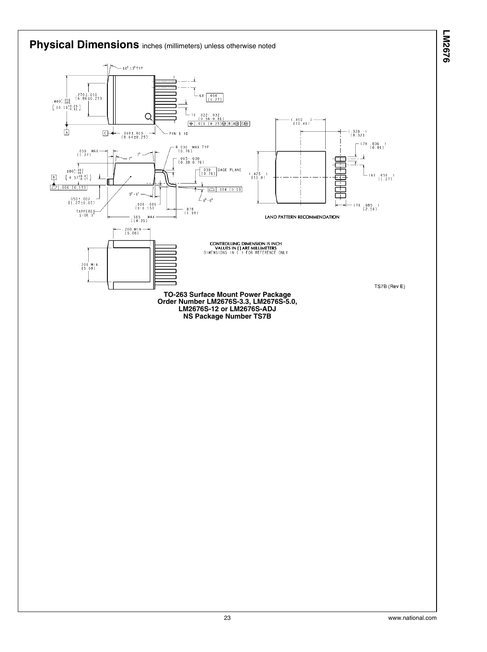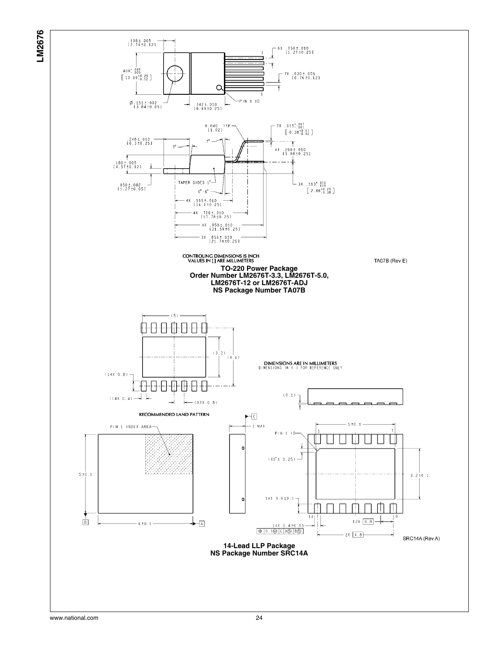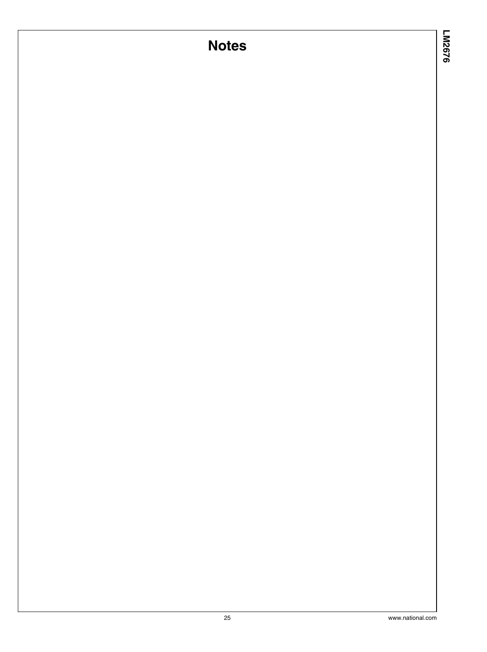# **Notes**